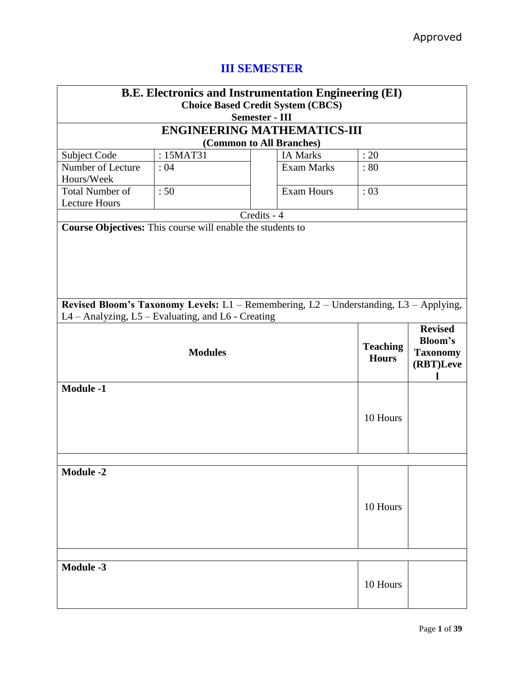| <b>B.E. Electronics and Instrumentation Engineering (EI)</b><br><b>Choice Based Credit System (CBCS)</b><br><b>Semester - III</b> |                                                                                                                                                                             |                          |                                    |      |  |
|-----------------------------------------------------------------------------------------------------------------------------------|-----------------------------------------------------------------------------------------------------------------------------------------------------------------------------|--------------------------|------------------------------------|------|--|
|                                                                                                                                   |                                                                                                                                                                             |                          | <b>ENGINEERING MATHEMATICS-III</b> |      |  |
|                                                                                                                                   |                                                                                                                                                                             | (Common to All Branches) |                                    |      |  |
| Subject Code                                                                                                                      | : 15MAT31                                                                                                                                                                   |                          | <b>IA Marks</b>                    | : 20 |  |
| Number of Lecture<br>Hours/Week                                                                                                   | :04                                                                                                                                                                         |                          | <b>Exam Marks</b>                  | : 80 |  |
| <b>Total Number of</b><br><b>Lecture Hours</b>                                                                                    | :50                                                                                                                                                                         |                          | <b>Exam Hours</b>                  | :03  |  |
|                                                                                                                                   |                                                                                                                                                                             | Credits - 4              |                                    |      |  |
| Revised Bloom's Taxonomy Levels: L1 - Remembering, L2 - Understanding, L3 - Applying,                                             |                                                                                                                                                                             |                          |                                    |      |  |
|                                                                                                                                   |                                                                                                                                                                             |                          |                                    |      |  |
|                                                                                                                                   | L4 - Analyzing, L5 - Evaluating, and L6 - Creating<br><b>Revised</b><br><b>Bloom's</b><br><b>Teaching</b><br><b>Taxonomy</b><br><b>Modules</b><br><b>Hours</b><br>(RBT)Leve |                          |                                    |      |  |
| <b>Module -1</b>                                                                                                                  | 10 Hours                                                                                                                                                                    |                          |                                    |      |  |
| <b>Module -2</b>                                                                                                                  |                                                                                                                                                                             |                          |                                    |      |  |
| 10 Hours                                                                                                                          |                                                                                                                                                                             |                          |                                    |      |  |
| <b>Module -3</b><br>10 Hours                                                                                                      |                                                                                                                                                                             |                          |                                    |      |  |

# **III SEMESTER**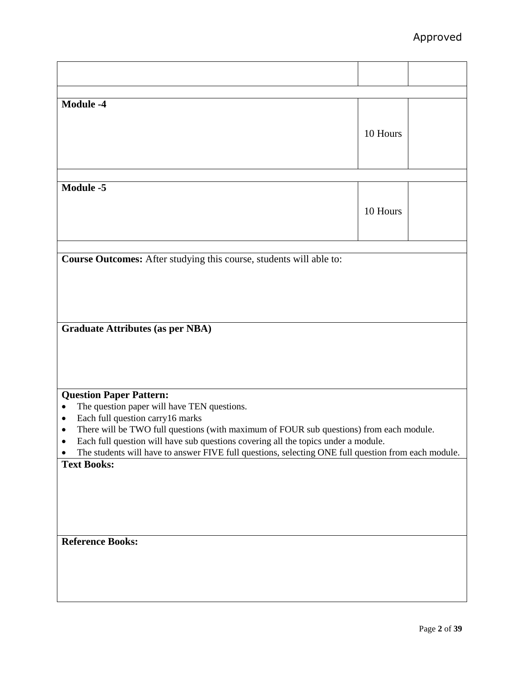| <b>Module -4</b>                                                                                         |          |  |
|----------------------------------------------------------------------------------------------------------|----------|--|
|                                                                                                          |          |  |
|                                                                                                          | 10 Hours |  |
|                                                                                                          |          |  |
|                                                                                                          |          |  |
|                                                                                                          |          |  |
|                                                                                                          |          |  |
| <b>Module -5</b>                                                                                         |          |  |
|                                                                                                          | 10 Hours |  |
|                                                                                                          |          |  |
|                                                                                                          |          |  |
|                                                                                                          |          |  |
| Course Outcomes: After studying this course, students will able to:                                      |          |  |
|                                                                                                          |          |  |
|                                                                                                          |          |  |
|                                                                                                          |          |  |
|                                                                                                          |          |  |
|                                                                                                          |          |  |
| <b>Graduate Attributes (as per NBA)</b>                                                                  |          |  |
|                                                                                                          |          |  |
|                                                                                                          |          |  |
|                                                                                                          |          |  |
|                                                                                                          |          |  |
| <b>Question Paper Pattern:</b>                                                                           |          |  |
| The question paper will have TEN questions.<br>$\bullet$                                                 |          |  |
| Each full question carry16 marks<br>$\bullet$                                                            |          |  |
| There will be TWO full questions (with maximum of FOUR sub questions) from each module.<br>$\bullet$     |          |  |
| Each full question will have sub questions covering all the topics under a module.                       |          |  |
| The students will have to answer FIVE full questions, selecting ONE full question from each module.<br>٠ |          |  |
| <b>Text Books:</b>                                                                                       |          |  |
|                                                                                                          |          |  |
|                                                                                                          |          |  |
|                                                                                                          |          |  |
|                                                                                                          |          |  |
|                                                                                                          |          |  |
| <b>Reference Books:</b>                                                                                  |          |  |
|                                                                                                          |          |  |
|                                                                                                          |          |  |
|                                                                                                          |          |  |
|                                                                                                          |          |  |
|                                                                                                          |          |  |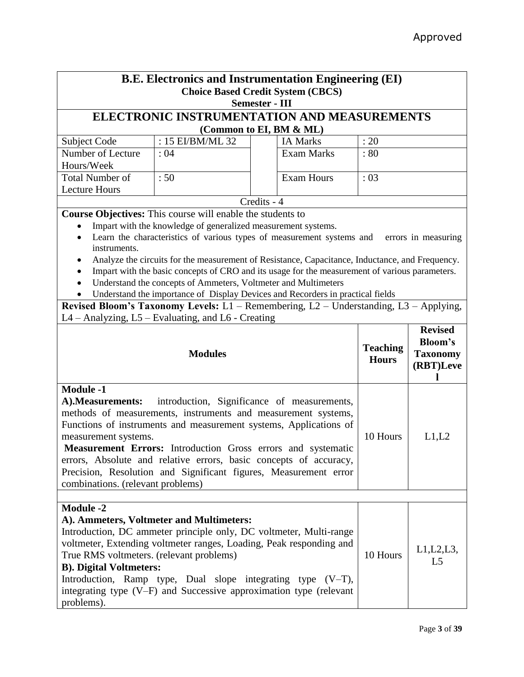| <b>B.E. Electronics and Instrumentation Engineering (EI)</b>                                                                                                                                                                                                                                                                                                                                                                                                                                                          |                                                                   |                                                                                                                                                                                                                                                                                  |                                 |                                         |
|-----------------------------------------------------------------------------------------------------------------------------------------------------------------------------------------------------------------------------------------------------------------------------------------------------------------------------------------------------------------------------------------------------------------------------------------------------------------------------------------------------------------------|-------------------------------------------------------------------|----------------------------------------------------------------------------------------------------------------------------------------------------------------------------------------------------------------------------------------------------------------------------------|---------------------------------|-----------------------------------------|
|                                                                                                                                                                                                                                                                                                                                                                                                                                                                                                                       |                                                                   | <b>Choice Based Credit System (CBCS)</b><br><b>Semester - III</b>                                                                                                                                                                                                                |                                 |                                         |
|                                                                                                                                                                                                                                                                                                                                                                                                                                                                                                                       |                                                                   | ELECTRONIC INSTRUMENTATION AND MEASUREMENTS                                                                                                                                                                                                                                      |                                 |                                         |
|                                                                                                                                                                                                                                                                                                                                                                                                                                                                                                                       |                                                                   | (Common to EI, BM & ML)                                                                                                                                                                                                                                                          |                                 |                                         |
| Subject Code                                                                                                                                                                                                                                                                                                                                                                                                                                                                                                          | : 15 EI/BM/ML 32                                                  | <b>IA Marks</b>                                                                                                                                                                                                                                                                  | : 20                            |                                         |
| Number of Lecture                                                                                                                                                                                                                                                                                                                                                                                                                                                                                                     | : 04                                                              | <b>Exam Marks</b>                                                                                                                                                                                                                                                                | : 80                            |                                         |
| Hours/Week                                                                                                                                                                                                                                                                                                                                                                                                                                                                                                            |                                                                   |                                                                                                                                                                                                                                                                                  |                                 |                                         |
| <b>Total Number of</b>                                                                                                                                                                                                                                                                                                                                                                                                                                                                                                | :50                                                               | <b>Exam Hours</b>                                                                                                                                                                                                                                                                | :03                             |                                         |
| <b>Lecture Hours</b>                                                                                                                                                                                                                                                                                                                                                                                                                                                                                                  |                                                                   |                                                                                                                                                                                                                                                                                  |                                 |                                         |
|                                                                                                                                                                                                                                                                                                                                                                                                                                                                                                                       | <b>Course Objectives:</b> This course will enable the students to | Credits - 4                                                                                                                                                                                                                                                                      |                                 |                                         |
|                                                                                                                                                                                                                                                                                                                                                                                                                                                                                                                       | Impart with the knowledge of generalized measurement systems.     |                                                                                                                                                                                                                                                                                  |                                 |                                         |
|                                                                                                                                                                                                                                                                                                                                                                                                                                                                                                                       |                                                                   | Learn the characteristics of various types of measurement systems and                                                                                                                                                                                                            |                                 | errors in measuring                     |
| instruments.                                                                                                                                                                                                                                                                                                                                                                                                                                                                                                          |                                                                   |                                                                                                                                                                                                                                                                                  |                                 |                                         |
|                                                                                                                                                                                                                                                                                                                                                                                                                                                                                                                       |                                                                   | Analyze the circuits for the measurement of Resistance, Capacitance, Inductance, and Frequency.                                                                                                                                                                                  |                                 |                                         |
|                                                                                                                                                                                                                                                                                                                                                                                                                                                                                                                       |                                                                   | Impart with the basic concepts of CRO and its usage for the measurement of various parameters.                                                                                                                                                                                   |                                 |                                         |
|                                                                                                                                                                                                                                                                                                                                                                                                                                                                                                                       | Understand the concepts of Ammeters, Voltmeter and Multimeters    |                                                                                                                                                                                                                                                                                  |                                 |                                         |
|                                                                                                                                                                                                                                                                                                                                                                                                                                                                                                                       |                                                                   | Understand the importance of Display Devices and Recorders in practical fields                                                                                                                                                                                                   |                                 |                                         |
|                                                                                                                                                                                                                                                                                                                                                                                                                                                                                                                       | $L4 -$ Analyzing, $L5 -$ Evaluating, and $L6 -$ Creating          | Revised Bloom's Taxonomy Levels: L1 - Remembering, L2 - Understanding, L3 - Applying,                                                                                                                                                                                            |                                 |                                         |
|                                                                                                                                                                                                                                                                                                                                                                                                                                                                                                                       |                                                                   |                                                                                                                                                                                                                                                                                  |                                 | <b>Revised</b>                          |
|                                                                                                                                                                                                                                                                                                                                                                                                                                                                                                                       | <b>Modules</b>                                                    |                                                                                                                                                                                                                                                                                  | <b>Teaching</b><br><b>Hours</b> | Bloom's<br><b>Taxonomy</b><br>(RBT)Leve |
| <b>Module -1</b><br>introduction, Significance of measurements,<br>A). Measurements:<br>methods of measurements, instruments and measurement systems,<br>Functions of instruments and measurement systems, Applications of<br>10 Hours<br>L1,L2<br>measurement systems.<br>Measurement Errors: Introduction Gross errors and systematic<br>errors, Absolute and relative errors, basic concepts of accuracy,<br>Precision, Resolution and Significant figures, Measurement error<br>combinations. (relevant problems) |                                                                   |                                                                                                                                                                                                                                                                                  |                                 |                                         |
|                                                                                                                                                                                                                                                                                                                                                                                                                                                                                                                       |                                                                   |                                                                                                                                                                                                                                                                                  |                                 |                                         |
| <b>Module -2</b><br>True RMS voltmeters. (relevant problems)<br><b>B). Digital Voltmeters:</b><br>problems).                                                                                                                                                                                                                                                                                                                                                                                                          | A). Ammeters, Voltmeter and Multimeters:                          | Introduction, DC ammeter principle only, DC voltmeter, Multi-range<br>voltmeter, Extending voltmeter ranges, Loading, Peak responding and<br>Introduction, Ramp type, Dual slope integrating type (V-T),<br>integrating type $(V-F)$ and Successive approximation type (relevant | 10 Hours                        | L1, L2, L3,<br>L <sub>5</sub>           |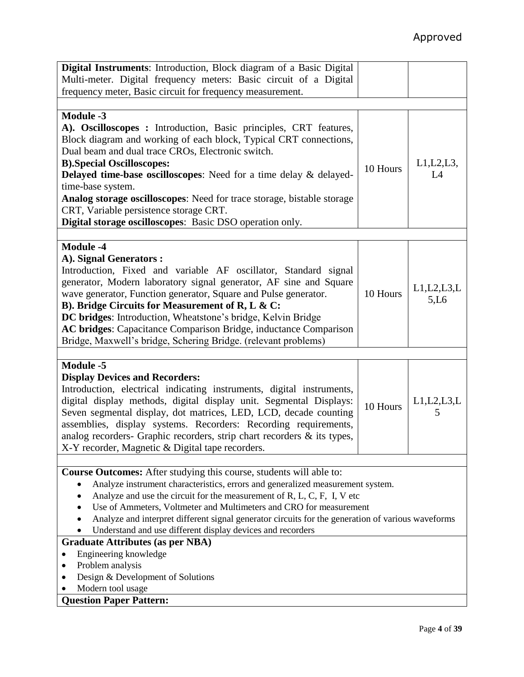| Digital Instruments: Introduction, Block diagram of a Basic Digital<br>Multi-meter. Digital frequency meters: Basic circuit of a Digital                                                                                                                                                                                                                                                                                                                                                                                      |          |                       |
|-------------------------------------------------------------------------------------------------------------------------------------------------------------------------------------------------------------------------------------------------------------------------------------------------------------------------------------------------------------------------------------------------------------------------------------------------------------------------------------------------------------------------------|----------|-----------------------|
| frequency meter, Basic circuit for frequency measurement.                                                                                                                                                                                                                                                                                                                                                                                                                                                                     |          |                       |
|                                                                                                                                                                                                                                                                                                                                                                                                                                                                                                                               |          |                       |
| <b>Module -3</b><br>A). Oscilloscopes : Introduction, Basic principles, CRT features,<br>Block diagram and working of each block, Typical CRT connections,<br>Dual beam and dual trace CROs, Electronic switch.<br><b>B).Special Oscilloscopes:</b><br>Delayed time-base oscilloscopes: Need for a time delay & delayed-<br>time-base system.<br>Analog storage oscilloscopes: Need for trace storage, bistable storage<br>CRT, Variable persistence storage CRT.<br>Digital storage oscilloscopes: Basic DSO operation only. | 10 Hours | $L1,L2,L3$ ,<br>L4    |
|                                                                                                                                                                                                                                                                                                                                                                                                                                                                                                                               |          |                       |
| <b>Module -4</b><br>A). Signal Generators :<br>Introduction, Fixed and variable AF oscillator, Standard signal<br>generator, Modern laboratory signal generator, AF sine and Square<br>wave generator, Function generator, Square and Pulse generator.<br>B). Bridge Circuits for Measurement of R, L & C:<br>DC bridges: Introduction, Wheatstone's bridge, Kelvin Bridge<br>AC bridges: Capacitance Comparison Bridge, inductance Comparison<br>Bridge, Maxwell's bridge, Schering Bridge. (relevant problems)              | 10 Hours | L1, L2, L3, L<br>5,L6 |
|                                                                                                                                                                                                                                                                                                                                                                                                                                                                                                                               |          |                       |
| <b>Module -5</b><br><b>Display Devices and Recorders:</b><br>Introduction, electrical indicating instruments, digital instruments,<br>digital display methods, digital display unit. Segmental Displays:<br>Seven segmental display, dot matrices, LED, LCD, decade counting<br>assemblies, display systems. Recorders: Recording requirements,<br>analog recorders- Graphic recorders, strip chart recorders & its types,<br>X-Y recorder, Magnetic & Digital tape recorders.                                                | 10 Hours | L1, L2, L3, L<br>5    |
|                                                                                                                                                                                                                                                                                                                                                                                                                                                                                                                               |          |                       |
| Course Outcomes: After studying this course, students will able to:<br>Analyze instrument characteristics, errors and generalized measurement system.<br>٠<br>Analyze and use the circuit for the measurement of R, L, C, F, I, V etc<br>$\bullet$<br>Use of Ammeters, Voltmeter and Multimeters and CRO for measurement<br>$\bullet$<br>Analyze and interpret different signal generator circuits for the generation of various waveforms<br>Understand and use different display devices and recorders                      |          |                       |
| <b>Graduate Attributes (as per NBA)</b>                                                                                                                                                                                                                                                                                                                                                                                                                                                                                       |          |                       |
| Engineering knowledge<br>Problem analysis<br>Design & Development of Solutions<br>Modern tool usage                                                                                                                                                                                                                                                                                                                                                                                                                           |          |                       |
| <b>Question Paper Pattern:</b>                                                                                                                                                                                                                                                                                                                                                                                                                                                                                                |          |                       |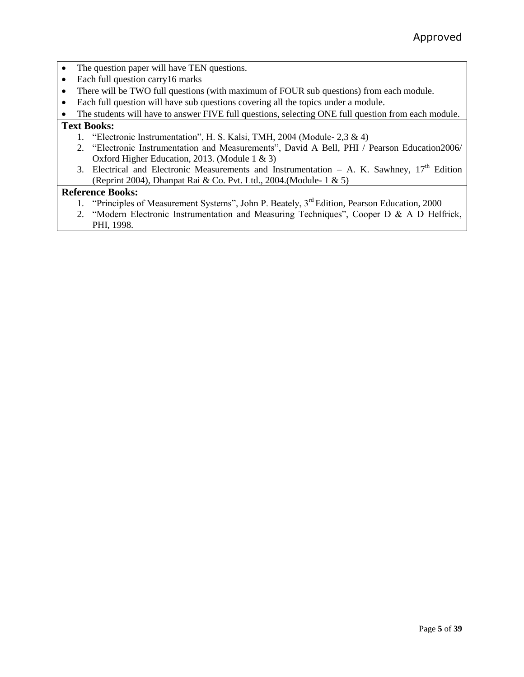- The question paper will have TEN questions.
- Each full question carry 16 marks
- There will be TWO full questions (with maximum of FOUR sub questions) from each module.
- Each full question will have sub questions covering all the topics under a module.
- The students will have to answer FIVE full questions, selecting ONE full question from each module.

# **Text Books:**

- 1. "Electronic Instrumentation", H. S. Kalsi, TMH, 2004 (Module- 2,3 & 4)
- 2. "Electronic Instrumentation and Measurements", David A Bell, PHI / Pearson Education2006/ Oxford Higher Education, 2013. (Module 1 & 3)
- 3. Electrical and Electronic Measurements and Instrumentation A. K. Sawhney,  $17<sup>th</sup>$  Edition (Reprint 2004), Dhanpat Rai & Co. Pvt. Ltd., 2004.(Module- 1 & 5)

- 1. "Principles of Measurement Systems", John P. Beately, 3<sup>rd</sup> Edition, Pearson Education, 2000
- 2. "Modern Electronic Instrumentation and Measuring Techniques", Cooper D & A D Helfrick, PHI, 1998.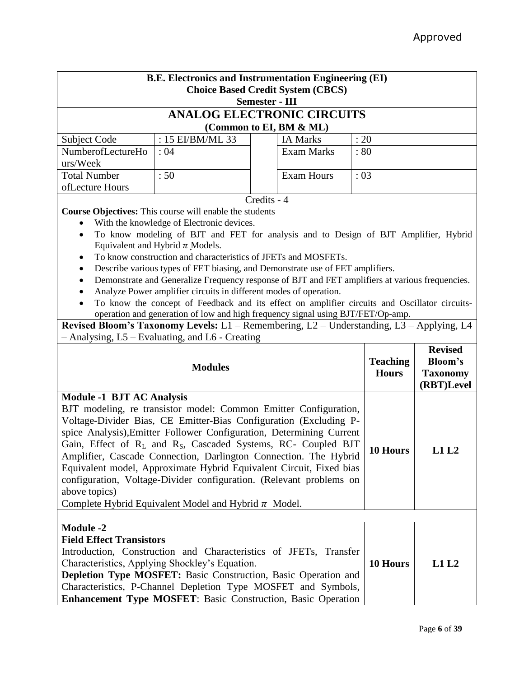| <b>B.E. Electronics and Instrumentation Engineering (EI)</b> |                                                                                                                                                                    |                       |                                          |                 |                 |
|--------------------------------------------------------------|--------------------------------------------------------------------------------------------------------------------------------------------------------------------|-----------------------|------------------------------------------|-----------------|-----------------|
|                                                              |                                                                                                                                                                    |                       | <b>Choice Based Credit System (CBCS)</b> |                 |                 |
|                                                              |                                                                                                                                                                    | <b>Semester - III</b> |                                          |                 |                 |
|                                                              | <b>ANALOG ELECTRONIC CIRCUITS</b>                                                                                                                                  |                       |                                          |                 |                 |
|                                                              |                                                                                                                                                                    |                       | (Common to EI, BM & ML)                  |                 |                 |
| Subject Code                                                 | : 15 EI/BM/ML 33                                                                                                                                                   |                       | <b>IA Marks</b>                          | : 20            |                 |
| NumberofLectureHo                                            | :04                                                                                                                                                                |                       | <b>Exam Marks</b>                        | :80             |                 |
| urs/Week                                                     |                                                                                                                                                                    |                       |                                          |                 |                 |
| <b>Total Number</b>                                          | :50                                                                                                                                                                |                       | <b>Exam Hours</b>                        | :03             |                 |
| ofLecture Hours                                              |                                                                                                                                                                    |                       |                                          |                 |                 |
|                                                              |                                                                                                                                                                    | Credits - 4           |                                          |                 |                 |
|                                                              | <b>Course Objectives:</b> This course will enable the students                                                                                                     |                       |                                          |                 |                 |
|                                                              | With the knowledge of Electronic devices.                                                                                                                          |                       |                                          |                 |                 |
| $\bullet$                                                    | To know modeling of BJT and FET for analysis and to Design of BJT Amplifier, Hybrid                                                                                |                       |                                          |                 |                 |
|                                                              | Equivalent and Hybrid $\pi$ Models.                                                                                                                                |                       |                                          |                 |                 |
|                                                              | To know construction and characteristics of JFETs and MOSFETs.                                                                                                     |                       |                                          |                 |                 |
| ٠                                                            | Describe various types of FET biasing, and Demonstrate use of FET amplifiers.                                                                                      |                       |                                          |                 |                 |
|                                                              | Demonstrate and Generalize Frequency response of BJT and FET amplifiers at various frequencies.                                                                    |                       |                                          |                 |                 |
|                                                              | Analyze Power amplifier circuits in different modes of operation.<br>To know the concept of Feedback and its effect on amplifier circuits and Oscillator circuits- |                       |                                          |                 |                 |
|                                                              | operation and generation of low and high frequency signal using BJT/FET/Op-amp.                                                                                    |                       |                                          |                 |                 |
|                                                              | Revised Bloom's Taxonomy Levels: L1 - Remembering, L2 - Understanding, L3 - Applying, L4                                                                           |                       |                                          |                 |                 |
|                                                              | - Analysing, L5 – Evaluating, and L6 - Creating                                                                                                                    |                       |                                          |                 |                 |
|                                                              |                                                                                                                                                                    |                       |                                          |                 | <b>Revised</b>  |
|                                                              |                                                                                                                                                                    |                       |                                          | <b>Teaching</b> | Bloom's         |
|                                                              | <b>Modules</b>                                                                                                                                                     |                       |                                          | <b>Hours</b>    | <b>Taxonomy</b> |
|                                                              |                                                                                                                                                                    |                       |                                          |                 | (RBT)Level      |
| <b>Module -1 BJT AC Analysis</b>                             |                                                                                                                                                                    |                       |                                          |                 |                 |
|                                                              | BJT modeling, re transistor model: Common Emitter Configuration,                                                                                                   |                       |                                          |                 |                 |
|                                                              | Voltage-Divider Bias, CE Emitter-Bias Configuration (Excluding P-                                                                                                  |                       |                                          |                 |                 |
|                                                              | spice Analysis), Emitter Follower Configuration, Determining Current                                                                                               |                       |                                          |                 |                 |
|                                                              | Gain, Effect of R <sub>L</sub> and R <sub>S</sub> , Cascaded Systems, RC- Coupled BJT                                                                              |                       |                                          | 10 Hours        | L1L2            |
|                                                              | Amplifier, Cascade Connection, Darlington Connection. The Hybrid                                                                                                   |                       |                                          |                 |                 |
|                                                              | Equivalent model, Approximate Hybrid Equivalent Circuit, Fixed bias                                                                                                |                       |                                          |                 |                 |
|                                                              | configuration, Voltage-Divider configuration. (Relevant problems on                                                                                                |                       |                                          |                 |                 |
| above topics)                                                |                                                                                                                                                                    |                       |                                          |                 |                 |
|                                                              |                                                                                                                                                                    |                       |                                          |                 |                 |
|                                                              | Complete Hybrid Equivalent Model and Hybrid $\pi$ Model.                                                                                                           |                       |                                          |                 |                 |
|                                                              |                                                                                                                                                                    |                       |                                          |                 |                 |
| <b>Module -2</b>                                             |                                                                                                                                                                    |                       |                                          |                 |                 |
| <b>Field Effect Transistors</b>                              |                                                                                                                                                                    |                       |                                          |                 |                 |
|                                                              | Introduction, Construction and Characteristics of JFETs, Transfer                                                                                                  |                       |                                          |                 |                 |
|                                                              | Characteristics, Applying Shockley's Equation.                                                                                                                     |                       |                                          | 10 Hours        | L1L2            |
|                                                              | <b>Depletion Type MOSFET:</b> Basic Construction, Basic Operation and                                                                                              |                       |                                          |                 |                 |
|                                                              | Characteristics, P-Channel Depletion Type MOSFET and Symbols,                                                                                                      |                       |                                          |                 |                 |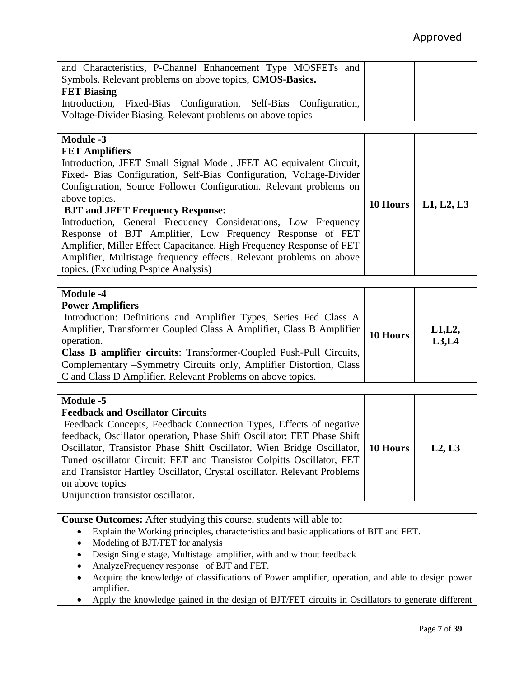| and Characteristics, P-Channel Enhancement Type MOSFETs and                                       |          |            |
|---------------------------------------------------------------------------------------------------|----------|------------|
| Symbols. Relevant problems on above topics, CMOS-Basics.                                          |          |            |
| <b>FET Biasing</b>                                                                                |          |            |
| Introduction, Fixed-Bias Configuration, Self-Bias Configuration,                                  |          |            |
| Voltage-Divider Biasing. Relevant problems on above topics                                        |          |            |
|                                                                                                   |          |            |
| <b>Module -3</b>                                                                                  |          |            |
| <b>FET Amplifiers</b>                                                                             |          |            |
| Introduction, JFET Small Signal Model, JFET AC equivalent Circuit,                                |          |            |
| Fixed- Bias Configuration, Self-Bias Configuration, Voltage-Divider                               |          |            |
| Configuration, Source Follower Configuration. Relevant problems on                                |          |            |
| above topics.                                                                                     |          |            |
| <b>BJT and JFET Frequency Response:</b>                                                           | 10 Hours | L1, L2, L3 |
| Introduction, General Frequency Considerations, Low Frequency                                     |          |            |
| Response of BJT Amplifier, Low Frequency Response of FET                                          |          |            |
|                                                                                                   |          |            |
| Amplifier, Miller Effect Capacitance, High Frequency Response of FET                              |          |            |
| Amplifier, Multistage frequency effects. Relevant problems on above                               |          |            |
| topics. (Excluding P-spice Analysis)                                                              |          |            |
|                                                                                                   |          |            |
| <b>Module -4</b>                                                                                  |          |            |
| <b>Power Amplifiers</b>                                                                           |          |            |
| Introduction: Definitions and Amplifier Types, Series Fed Class A                                 |          |            |
| Amplifier, Transformer Coupled Class A Amplifier, Class B Amplifier                               | 10 Hours | L1, L2,    |
| operation.                                                                                        |          | L3,L4      |
| Class B amplifier circuits: Transformer-Coupled Push-Pull Circuits,                               |          |            |
| Complementary -Symmetry Circuits only, Amplifier Distortion, Class                                |          |            |
| C and Class D Amplifier. Relevant Problems on above topics.                                       |          |            |
|                                                                                                   |          |            |
| Module -5                                                                                         |          |            |
| <b>Feedback and Oscillator Circuits</b>                                                           |          |            |
| Feedback Concepts, Feedback Connection Types, Effects of negative                                 |          |            |
| feedback, Oscillator operation, Phase Shift Oscillator: FET Phase Shift                           |          |            |
| Oscillator, Transistor Phase Shift Oscillator, Wien Bridge Oscillator,                            | 10 Hours | L2, L3     |
| Tuned oscillator Circuit: FET and Transistor Colpitts Oscillator, FET                             |          |            |
| and Transistor Hartley Oscillator, Crystal oscillator. Relevant Problems                          |          |            |
| on above topics                                                                                   |          |            |
| Unijunction transistor oscillator.                                                                |          |            |
|                                                                                                   |          |            |
| Course Outcomes: After studying this course, students will able to:                               |          |            |
| Explain the Working principles, characteristics and basic applications of BJT and FET.            |          |            |
| Modeling of BJT/FET for analysis                                                                  |          |            |
| Design Single stage, Multistage amplifier, with and without feedback                              |          |            |
| AnalyzeFrequency response of BJT and FET.                                                         |          |            |
| Acquire the knowledge of classifications of Power amplifier, operation, and able to design power  |          |            |
| amplifier.                                                                                        |          |            |
| Apply the knowledge gained in the design of BJT/FET circuits in Oscillators to generate different |          |            |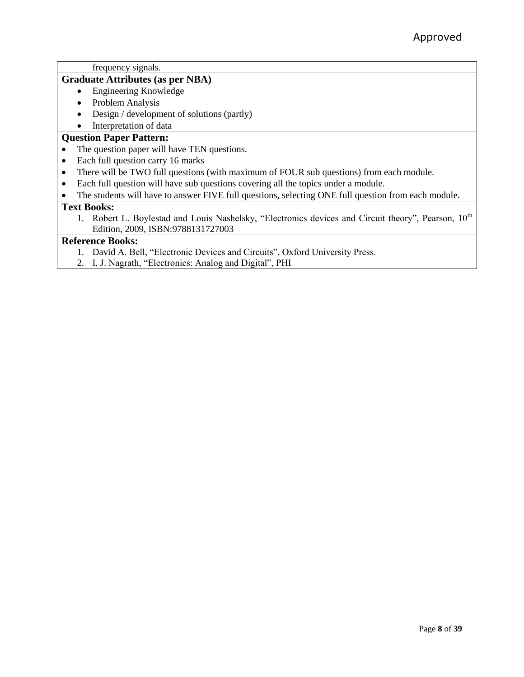frequency signals.

### **Graduate Attributes (as per NBA)**

- Engineering Knowledge
- Problem Analysis
- Design / development of solutions (partly)

# • Interpretation of data

# **Question Paper Pattern:**

- The question paper will have TEN questions.
- Each full question carry 16 marks
- There will be TWO full questions (with maximum of FOUR sub questions) from each module.
- Each full question will have sub questions covering all the topics under a module.
- The students will have to answer FIVE full questions, selecting ONE full question from each module.

### **Text Books:**

1. Robert L. Boylestad and Louis Nashelsky, "Electronics devices and Circuit theory", Pearson, 10<sup>th</sup> Edition, 2009, ISBN:9788131727003

- 1. David A. Bell, "Electronic Devices and Circuits", Oxford University Press.
- 2. I. J. Nagrath, "Electronics: Analog and Digital", PHI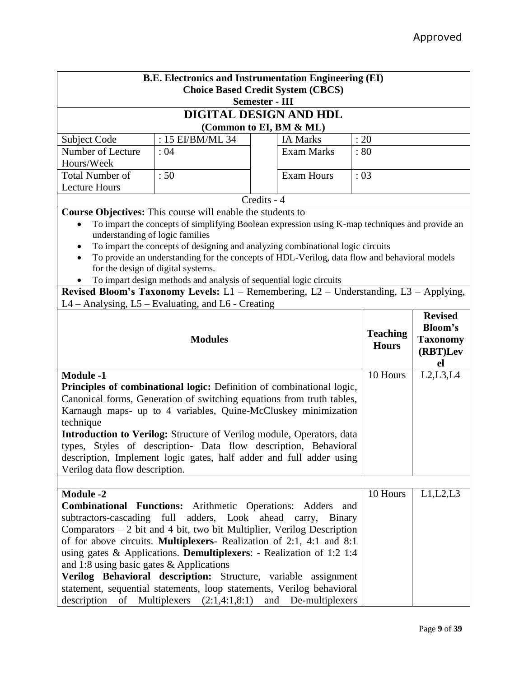| <b>B.E. Electronics and Instrumentation Engineering (EI)</b> |                                                                                                                                                             |             |                     |                                 |                                                     |  |
|--------------------------------------------------------------|-------------------------------------------------------------------------------------------------------------------------------------------------------------|-------------|---------------------|---------------------------------|-----------------------------------------------------|--|
|                                                              | <b>Choice Based Credit System (CBCS)</b>                                                                                                                    |             |                     |                                 |                                                     |  |
|                                                              | <b>Semester - III</b>                                                                                                                                       |             |                     |                                 |                                                     |  |
|                                                              | DIGITAL DESIGN AND HDL                                                                                                                                      |             |                     |                                 |                                                     |  |
|                                                              | (Common to EI, BM & ML)<br>: 15 EI/BM/ML 34                                                                                                                 |             |                     |                                 |                                                     |  |
| Subject Code<br>Number of Lecture                            | : 04                                                                                                                                                        |             | <b>IA Marks</b>     | : 20                            |                                                     |  |
| Hours/Week                                                   |                                                                                                                                                             |             | <b>Exam Marks</b>   | :80                             |                                                     |  |
| <b>Total Number of</b><br><b>Lecture Hours</b>               | :50                                                                                                                                                         |             | <b>Exam Hours</b>   | : 03                            |                                                     |  |
|                                                              |                                                                                                                                                             | Credits - 4 |                     |                                 |                                                     |  |
|                                                              | Course Objectives: This course will enable the students to                                                                                                  |             |                     |                                 |                                                     |  |
| $\bullet$<br>understanding of logic families                 | To impart the concepts of simplifying Boolean expression using K-map techniques and provide an                                                              |             |                     |                                 |                                                     |  |
|                                                              | To impart the concepts of designing and analyzing combinational logic circuits                                                                              |             |                     |                                 |                                                     |  |
|                                                              | To provide an understanding for the concepts of HDL-Verilog, data flow and behavioral models                                                                |             |                     |                                 |                                                     |  |
| for the design of digital systems.                           |                                                                                                                                                             |             |                     |                                 |                                                     |  |
|                                                              | To impart design methods and analysis of sequential logic circuits<br>Revised Bloom's Taxonomy Levels: L1 - Remembering, L2 - Understanding, L3 - Applying, |             |                     |                                 |                                                     |  |
|                                                              | $L4 -$ Analysing, $L5 -$ Evaluating, and $L6 -$ Creating                                                                                                    |             |                     |                                 |                                                     |  |
|                                                              |                                                                                                                                                             |             |                     |                                 | <b>Revised</b>                                      |  |
|                                                              | <b>Modules</b>                                                                                                                                              |             |                     | <b>Teaching</b><br><b>Hours</b> | <b>Bloom's</b><br><b>Taxonomy</b><br>(RBT)Lev<br>el |  |
| <b>Module -1</b>                                             |                                                                                                                                                             |             |                     | 10 Hours                        | L2, L3, L4                                          |  |
|                                                              | Principles of combinational logic: Definition of combinational logic,                                                                                       |             |                     |                                 |                                                     |  |
|                                                              | Canonical forms, Generation of switching equations from truth tables,                                                                                       |             |                     |                                 |                                                     |  |
|                                                              | Karnaugh maps- up to 4 variables, Quine-McCluskey minimization                                                                                              |             |                     |                                 |                                                     |  |
| technique                                                    |                                                                                                                                                             |             |                     |                                 |                                                     |  |
|                                                              | <b>Introduction to Verilog:</b> Structure of Verilog module, Operators, data                                                                                |             |                     |                                 |                                                     |  |
|                                                              | types, Styles of description- Data flow description, Behavioral<br>description, Implement logic gates, half adder and full adder using                      |             |                     |                                 |                                                     |  |
| Verilog data flow description.                               |                                                                                                                                                             |             |                     |                                 |                                                     |  |
|                                                              |                                                                                                                                                             |             |                     |                                 |                                                     |  |
| <b>Module -2</b>                                             |                                                                                                                                                             |             |                     | 10 Hours                        | L1, L2, L3                                          |  |
|                                                              | Combinational Functions: Arithmetic Operations: Adders and                                                                                                  |             |                     |                                 |                                                     |  |
|                                                              | subtractors-cascading full adders, Look ahead carry, Binary                                                                                                 |             |                     |                                 |                                                     |  |
|                                                              | Comparators $-2$ bit and 4 bit, two bit Multiplier, Verilog Description                                                                                     |             |                     |                                 |                                                     |  |
|                                                              | of for above circuits. Multiplexers- Realization of 2:1, 4:1 and 8:1                                                                                        |             |                     |                                 |                                                     |  |
|                                                              | using gates $\&$ Applications. <b>Demultiplexers</b> : - Realization of 1:2 1:4                                                                             |             |                     |                                 |                                                     |  |
| and 1:8 using basic gates $\&$ Applications                  |                                                                                                                                                             |             |                     |                                 |                                                     |  |
|                                                              | Verilog Behavioral description: Structure, variable assignment                                                                                              |             |                     |                                 |                                                     |  |
| description<br>of                                            | statement, sequential statements, loop statements, Verilog behavioral<br>Multiplexers $(2:1,4:1,8:1)$                                                       |             | and De-multiplexers |                                 |                                                     |  |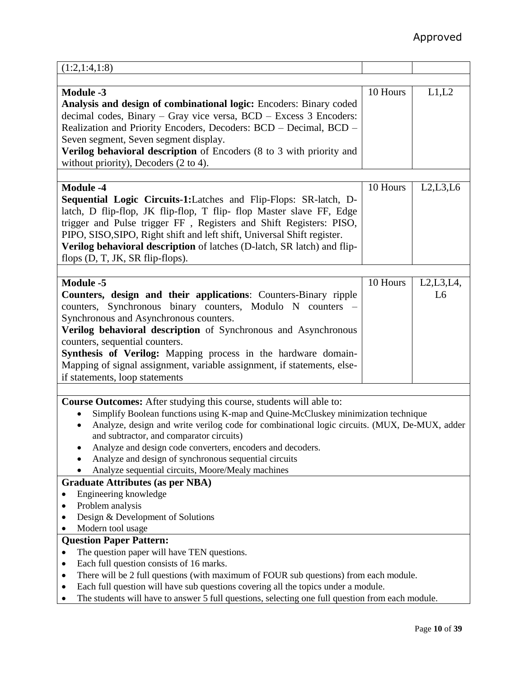| (1:2,1:4,1:8)                                                                                    |          |                |
|--------------------------------------------------------------------------------------------------|----------|----------------|
|                                                                                                  |          |                |
| <b>Module -3</b>                                                                                 | 10 Hours | L1,L2          |
| Analysis and design of combinational logic: Encoders: Binary coded                               |          |                |
| decimal codes, Binary – Gray vice versa, BCD – Excess 3 Encoders:                                |          |                |
| Realization and Priority Encoders, Decoders: BCD - Decimal, BCD -                                |          |                |
| Seven segment, Seven segment display.                                                            |          |                |
| Verilog behavioral description of Encoders (8 to 3 with priority and                             |          |                |
| without priority), Decoders (2 to 4).                                                            |          |                |
|                                                                                                  |          |                |
| <b>Module -4</b>                                                                                 |          |                |
|                                                                                                  | 10 Hours | L2, L3, L6     |
| <b>Sequential Logic Circuits-1:</b> Latches and Flip-Flops: SR-latch, D-                         |          |                |
| latch, D flip-flop, JK flip-flop, T flip-flop Master slave FF, Edge                              |          |                |
| trigger and Pulse trigger FF, Registers and Shift Registers: PISO,                               |          |                |
| PIPO, SISO, SIPO, Right shift and left shift, Universal Shift register.                          |          |                |
| Verilog behavioral description of latches (D-latch, SR latch) and flip-                          |          |                |
| flops (D, T, JK, SR flip-flops).                                                                 |          |                |
|                                                                                                  |          |                |
| <b>Module -5</b>                                                                                 | 10 Hours | L2,L3,L4,      |
| Counters, design and their applications: Counters-Binary ripple                                  |          | L <sub>6</sub> |
| counters, Synchronous binary counters, Modulo N counters -                                       |          |                |
| Synchronous and Asynchronous counters.                                                           |          |                |
| Verilog behavioral description of Synchronous and Asynchronous                                   |          |                |
| counters, sequential counters.                                                                   |          |                |
| Synthesis of Verilog: Mapping process in the hardware domain-                                    |          |                |
| Mapping of signal assignment, variable assignment, if statements, else-                          |          |                |
| if statements, loop statements                                                                   |          |                |
|                                                                                                  |          |                |
| <b>Course Outcomes:</b> After studying this course, students will able to:                       |          |                |
| Simplify Boolean functions using K-map and Quine-McCluskey minimization technique                |          |                |
| Analyze, design and write verilog code for combinational logic circuits. (MUX, De-MUX, adder     |          |                |
| and subtractor, and comparator circuits)                                                         |          |                |
| Analyze and design code converters, encoders and decoders.                                       |          |                |
| Analyze and design of synchronous sequential circuits                                            |          |                |
| Analyze sequential circuits, Moore/Mealy machines                                                |          |                |
| <b>Graduate Attributes (as per NBA)</b>                                                          |          |                |
| Engineering knowledge<br>٠                                                                       |          |                |
| Problem analysis                                                                                 |          |                |
| Design & Development of Solutions<br>٠                                                           |          |                |
| Modern tool usage                                                                                |          |                |
| <b>Question Paper Pattern:</b>                                                                   |          |                |
| The question paper will have TEN questions.                                                      |          |                |
| Each full question consists of 16 marks.                                                         |          |                |
| There will be 2 full questions (with maximum of FOUR sub questions) from each module.            |          |                |
| Each full question will have sub questions covering all the topics under a module.               |          |                |
| The students will have to answer 5 full questions, selecting one full question from each module. |          |                |
|                                                                                                  |          |                |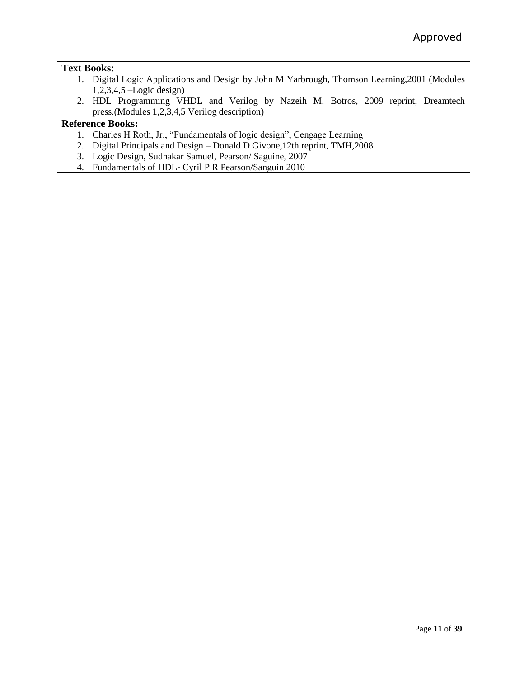# **Text Books:**

- 1. Digita**l** Logic Applications and Design by John M Yarbrough, Thomson Learning,2001 (Modules 1,2,3,4,5 –Logic design)
- 2. HDL Programming VHDL and Verilog by Nazeih M. Botros, 2009 reprint, Dreamtech press.(Modules 1,2,3,4,5 Verilog description)

- 1. Charles H Roth, Jr., "Fundamentals of logic design", Cengage Learning
- 2. Digital Principals and Design Donald D Givone,12th reprint, TMH,2008
- 3. Logic Design, Sudhakar Samuel, Pearson/ Saguine, 2007
- 4. Fundamentals of HDL- Cyril P R Pearson/Sanguin 2010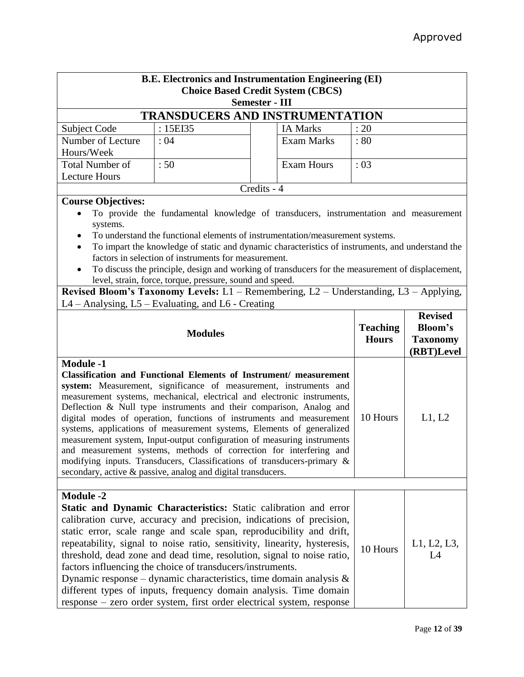| <b>B.E. Electronics and Instrumentation Engineering (EI)</b><br><b>Choice Based Credit System (CBCS)</b><br><b>Semester - III</b>                                                                                                                                                                                                                                                                                                                                                                                                                                                                                                                                                                                                                                |                                                                                                                                                                                                                                                                                                                                                                                                                                                                                                                                                                                                                         |                                                                                                                                                                                                                                                                                                                                                                                                                                                                                                                                                                                                |                                 |                                                                   |  |
|------------------------------------------------------------------------------------------------------------------------------------------------------------------------------------------------------------------------------------------------------------------------------------------------------------------------------------------------------------------------------------------------------------------------------------------------------------------------------------------------------------------------------------------------------------------------------------------------------------------------------------------------------------------------------------------------------------------------------------------------------------------|-------------------------------------------------------------------------------------------------------------------------------------------------------------------------------------------------------------------------------------------------------------------------------------------------------------------------------------------------------------------------------------------------------------------------------------------------------------------------------------------------------------------------------------------------------------------------------------------------------------------------|------------------------------------------------------------------------------------------------------------------------------------------------------------------------------------------------------------------------------------------------------------------------------------------------------------------------------------------------------------------------------------------------------------------------------------------------------------------------------------------------------------------------------------------------------------------------------------------------|---------------------------------|-------------------------------------------------------------------|--|
|                                                                                                                                                                                                                                                                                                                                                                                                                                                                                                                                                                                                                                                                                                                                                                  |                                                                                                                                                                                                                                                                                                                                                                                                                                                                                                                                                                                                                         | <b>TRANSDUCERS AND INSTRUMENTATION</b>                                                                                                                                                                                                                                                                                                                                                                                                                                                                                                                                                         |                                 |                                                                   |  |
| Subject Code                                                                                                                                                                                                                                                                                                                                                                                                                                                                                                                                                                                                                                                                                                                                                     | : 15EI35                                                                                                                                                                                                                                                                                                                                                                                                                                                                                                                                                                                                                | <b>IA Marks</b>                                                                                                                                                                                                                                                                                                                                                                                                                                                                                                                                                                                | : 20                            |                                                                   |  |
| Number of Lecture<br>Hours/Week                                                                                                                                                                                                                                                                                                                                                                                                                                                                                                                                                                                                                                                                                                                                  | : 04                                                                                                                                                                                                                                                                                                                                                                                                                                                                                                                                                                                                                    | <b>Exam Marks</b>                                                                                                                                                                                                                                                                                                                                                                                                                                                                                                                                                                              | : 80                            |                                                                   |  |
| <b>Total Number of</b><br><b>Lecture Hours</b>                                                                                                                                                                                                                                                                                                                                                                                                                                                                                                                                                                                                                                                                                                                   | :50                                                                                                                                                                                                                                                                                                                                                                                                                                                                                                                                                                                                                     | <b>Exam Hours</b>                                                                                                                                                                                                                                                                                                                                                                                                                                                                                                                                                                              | : 03                            |                                                                   |  |
|                                                                                                                                                                                                                                                                                                                                                                                                                                                                                                                                                                                                                                                                                                                                                                  |                                                                                                                                                                                                                                                                                                                                                                                                                                                                                                                                                                                                                         | Credits - 4                                                                                                                                                                                                                                                                                                                                                                                                                                                                                                                                                                                    |                                 |                                                                   |  |
| systems.<br>$\bullet$<br>L4 - Analysing, L5 - Evaluating, and L6 - Creating                                                                                                                                                                                                                                                                                                                                                                                                                                                                                                                                                                                                                                                                                      | <b>Course Objectives:</b><br>To provide the fundamental knowledge of transducers, instrumentation and measurement<br>To understand the functional elements of instrumentation/measurement systems.<br>To impart the knowledge of static and dynamic characteristics of instruments, and understand the<br>factors in selection of instruments for measurement.<br>To discuss the principle, design and working of transducers for the measurement of displacement,<br>level, strain, force, torque, pressure, sound and speed.<br>Revised Bloom's Taxonomy Levels: L1 - Remembering, L2 - Understanding, L3 - Applying, |                                                                                                                                                                                                                                                                                                                                                                                                                                                                                                                                                                                                |                                 |                                                                   |  |
|                                                                                                                                                                                                                                                                                                                                                                                                                                                                                                                                                                                                                                                                                                                                                                  | <b>Modules</b>                                                                                                                                                                                                                                                                                                                                                                                                                                                                                                                                                                                                          |                                                                                                                                                                                                                                                                                                                                                                                                                                                                                                                                                                                                | <b>Teaching</b><br><b>Hours</b> | <b>Revised</b><br><b>Bloom's</b><br><b>Taxonomy</b><br>(RBT)Level |  |
| <b>Module -1</b><br><b>Classification and Functional Elements of Instrument/ measurement</b><br>system: Measurement, significance of measurement, instruments and<br>measurement systems, mechanical, electrical and electronic instruments,<br>Deflection & Null type instruments and their comparison, Analog and<br>digital modes of operation, functions of instruments and measurement<br>systems, applications of measurement systems, Elements of generalized<br>measurement system, Input-output configuration of measuring instruments<br>and measurement systems, methods of correction for interfering and<br>modifying inputs. Transducers, Classifications of transducers-primary &<br>secondary, active & passive, analog and digital transducers. | 10 Hours                                                                                                                                                                                                                                                                                                                                                                                                                                                                                                                                                                                                                | L1, L2                                                                                                                                                                                                                                                                                                                                                                                                                                                                                                                                                                                         |                                 |                                                                   |  |
| <b>Module -2</b>                                                                                                                                                                                                                                                                                                                                                                                                                                                                                                                                                                                                                                                                                                                                                 |                                                                                                                                                                                                                                                                                                                                                                                                                                                                                                                                                                                                                         |                                                                                                                                                                                                                                                                                                                                                                                                                                                                                                                                                                                                |                                 |                                                                   |  |
|                                                                                                                                                                                                                                                                                                                                                                                                                                                                                                                                                                                                                                                                                                                                                                  | factors influencing the choice of transducers/instruments.                                                                                                                                                                                                                                                                                                                                                                                                                                                                                                                                                              | Static and Dynamic Characteristics: Static calibration and error<br>calibration curve, accuracy and precision, indications of precision,<br>static error, scale range and scale span, reproducibility and drift,<br>repeatability, signal to noise ratio, sensitivity, linearity, hysteresis,<br>threshold, dead zone and dead time, resolution, signal to noise ratio,<br>Dynamic response – dynamic characteristics, time domain analysis $\&$<br>different types of inputs, frequency domain analysis. Time domain<br>response - zero order system, first order electrical system, response | 10 Hours                        | L1, L2, L3,<br>L4                                                 |  |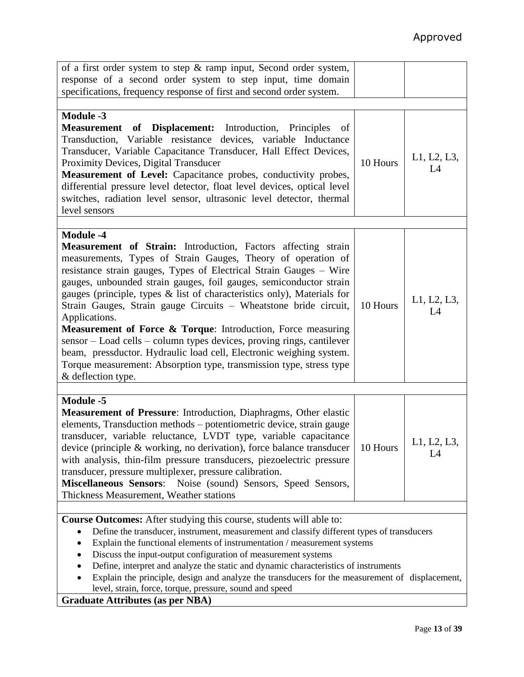| of a first order system to step $\&$ ramp input, Second order system,<br>response of a second order system to step input, time domain<br>specifications, frequency response of first and second order system.                                                                                                                                                                                                                                                                                                                                                                                                                                                                                                                                                                                |          |                   |
|----------------------------------------------------------------------------------------------------------------------------------------------------------------------------------------------------------------------------------------------------------------------------------------------------------------------------------------------------------------------------------------------------------------------------------------------------------------------------------------------------------------------------------------------------------------------------------------------------------------------------------------------------------------------------------------------------------------------------------------------------------------------------------------------|----------|-------------------|
|                                                                                                                                                                                                                                                                                                                                                                                                                                                                                                                                                                                                                                                                                                                                                                                              |          |                   |
| <b>Module -3</b><br><b>Measurement of Displacement:</b> Introduction, Principles<br>of<br>Transduction, Variable resistance devices, variable Inductance<br>Transducer, Variable Capacitance Transducer, Hall Effect Devices,<br>Proximity Devices, Digital Transducer<br>Measurement of Level: Capacitance probes, conductivity probes,<br>differential pressure level detector, float level devices, optical level<br>switches, radiation level sensor, ultrasonic level detector, thermal<br>level sensors                                                                                                                                                                                                                                                                                | 10 Hours | L1, L2, L3,<br>L4 |
|                                                                                                                                                                                                                                                                                                                                                                                                                                                                                                                                                                                                                                                                                                                                                                                              |          |                   |
| <b>Module -4</b><br><b>Measurement of Strain:</b> Introduction, Factors affecting strain<br>measurements, Types of Strain Gauges, Theory of operation of<br>resistance strain gauges, Types of Electrical Strain Gauges - Wire<br>gauges, unbounded strain gauges, foil gauges, semiconductor strain<br>gauges (principle, types & list of characteristics only), Materials for<br>Strain Gauges, Strain gauge Circuits - Wheatstone bride circuit,<br>Applications.<br><b>Measurement of Force &amp; Torque:</b> Introduction, Force measuring<br>sensor - Load cells - column types devices, proving rings, cantilever<br>beam, pressductor. Hydraulic load cell, Electronic weighing system.<br>Torque measurement: Absorption type, transmission type, stress type<br>& deflection type. | 10 Hours | L1, L2, L3,<br>L4 |
|                                                                                                                                                                                                                                                                                                                                                                                                                                                                                                                                                                                                                                                                                                                                                                                              |          |                   |
| <b>Module -5</b><br><b>Measurement of Pressure:</b> Introduction, Diaphragms, Other elastic<br>elements, Transduction methods - potentiometric device, strain gauge<br>transducer, variable reluctance, LVDT type, variable capacitance<br>device (principle & working, no derivation), force balance transducer<br>with analysis, thin-film pressure transducers, piezoelectric pressure<br>transducer, pressure multiplexer, pressure calibration.<br>Miscellaneous Sensors: Noise (sound) Sensors, Speed Sensors,<br>Thickness Measurement, Weather stations                                                                                                                                                                                                                              | 10 Hours | L1, L2, L3<br>L4  |
|                                                                                                                                                                                                                                                                                                                                                                                                                                                                                                                                                                                                                                                                                                                                                                                              |          |                   |
| <b>Course Outcomes:</b> After studying this course, students will able to:<br>Define the transducer, instrument, measurement and classify different types of transducers<br>Explain the functional elements of instrumentation / measurement systems<br>Discuss the input-output configuration of measurement systems<br>Define, interpret and analyze the static and dynamic characteristics of instruments<br>Explain the principle, design and analyze the transducers for the measurement of displacement,<br>level, strain, force, torque, pressure, sound and speed                                                                                                                                                                                                                    |          |                   |

**Graduate Attributes (as per NBA)**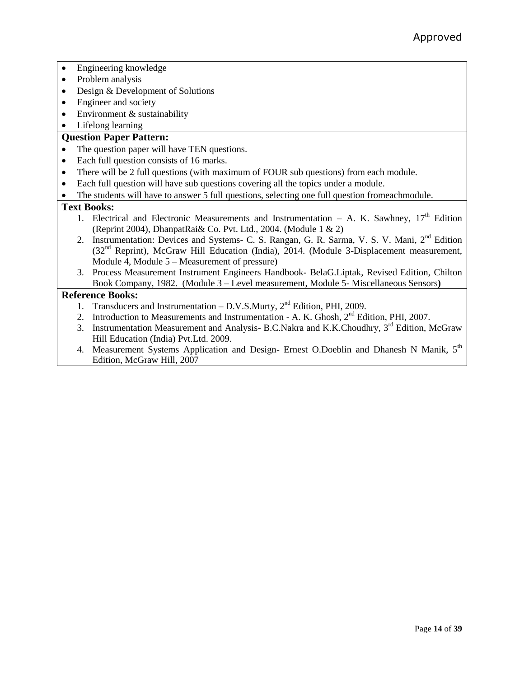- Engineering knowledge
- Problem analysis
- Design & Development of Solutions
- Engineer and society
- Environment & sustainability
- Lifelong learning

## **Question Paper Pattern:**

- The question paper will have TEN questions.
- Each full question consists of 16 marks.
- There will be 2 full questions (with maximum of FOUR sub questions) from each module.
- Each full question will have sub questions covering all the topics under a module.
- The students will have to answer 5 full questions, selecting one full question fromeachmodule.

### **Text Books:**

- 1. Electrical and Electronic Measurements and Instrumentation  $-$  A. K. Sawhney,  $17<sup>th</sup>$  Edition (Reprint 2004), DhanpatRai& Co. Pvt. Ltd., 2004. (Module 1 & 2)
- 2. Instrumentation: Devices and Systems- C. S. Rangan, G. R. Sarma, V. S. V. Mani, 2<sup>nd</sup> Edition (32<sup>nd</sup> Reprint), McGraw Hill Education (India), 2014. (Module 3-Displacement measurement, Module  $\overline{4}$ , Module  $5 -$ Measurement of pressure)
- 3. Process Measurement Instrument Engineers Handbook- BelaG.Liptak, Revised Edition, Chilton Book Company, 1982. (Module 3 – Level measurement, Module 5- Miscellaneous Sensors**)**

- 1. Transducers and Instrumentation D.V.S.Murty,  $2<sup>nd</sup>$  Edition, PHI, 2009.
- 2. Introduction to Measurements and Instrumentation A. K. Ghosh,  $2<sup>nd</sup>$  Edition, PHI, 2007.
- 3. Instrumentation Measurement and Analysis- B.C.Nakra and K.K.Choudhry, 3<sup>rd</sup> Edition, McGraw Hill Education (India) Pvt.Ltd. 2009.
- 4. Measurement Systems Application and Design- Ernest O.Doeblin and Dhanesh N Manik, 5<sup>th</sup> Edition, McGraw Hill, 2007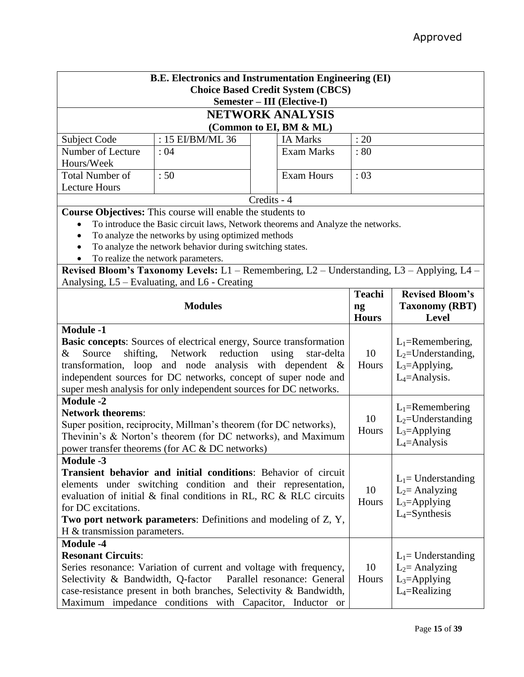| <b>B.E. Electronics and Instrumentation Engineering (EI)</b> |                                                                                                                                       |             |                                          |               |                        |  |
|--------------------------------------------------------------|---------------------------------------------------------------------------------------------------------------------------------------|-------------|------------------------------------------|---------------|------------------------|--|
|                                                              |                                                                                                                                       |             | <b>Choice Based Credit System (CBCS)</b> |               |                        |  |
| Semester - III (Elective-I)                                  |                                                                                                                                       |             |                                          |               |                        |  |
|                                                              |                                                                                                                                       |             | <b>NETWORK ANALYSIS</b>                  |               |                        |  |
|                                                              |                                                                                                                                       |             | (Common to EI, BM & ML)                  |               |                        |  |
| Subject Code                                                 | : 15 EI/BM/ML 36                                                                                                                      |             | <b>IA Marks</b>                          | : 20          |                        |  |
| Number of Lecture                                            | :04                                                                                                                                   |             | Exam Marks                               | : 80          |                        |  |
| Hours/Week                                                   |                                                                                                                                       |             |                                          |               |                        |  |
| <b>Total Number of</b>                                       | :50                                                                                                                                   |             | <b>Exam Hours</b>                        | :03           |                        |  |
| <b>Lecture Hours</b>                                         |                                                                                                                                       |             |                                          |               |                        |  |
|                                                              |                                                                                                                                       | Credits - 4 |                                          |               |                        |  |
|                                                              | <b>Course Objectives:</b> This course will enable the students to                                                                     |             |                                          |               |                        |  |
| $\bullet$                                                    | To introduce the Basic circuit laws, Network theorems and Analyze the networks.<br>To analyze the networks by using optimized methods |             |                                          |               |                        |  |
|                                                              | To analyze the network behavior during switching states.                                                                              |             |                                          |               |                        |  |
|                                                              | To realize the network parameters.                                                                                                    |             |                                          |               |                        |  |
|                                                              | Revised Bloom's Taxonomy Levels: L1 - Remembering, L2 - Understanding, L3 - Applying, L4 -                                            |             |                                          |               |                        |  |
|                                                              | Analysing, L5 – Evaluating, and L6 - Creating                                                                                         |             |                                          |               |                        |  |
|                                                              |                                                                                                                                       |             |                                          | <b>Teachi</b> | <b>Revised Bloom's</b> |  |
|                                                              | <b>Modules</b>                                                                                                                        |             |                                          | ng            | <b>Taxonomy (RBT)</b>  |  |
|                                                              |                                                                                                                                       |             |                                          | <b>Hours</b>  | <b>Level</b>           |  |
| <b>Module -1</b>                                             |                                                                                                                                       |             |                                          |               |                        |  |
|                                                              | <b>Basic concepts:</b> Sources of electrical energy, Source transformation                                                            |             |                                          |               | $L_1$ =Remembering,    |  |
| shifting,<br>Source<br>&                                     | Network reduction                                                                                                                     |             | using<br>star-delta                      | 10            | $L_2$ =Understanding,  |  |
|                                                              | transformation, loop and node analysis with dependent &                                                                               |             |                                          | Hours         | $L_3$ =Applying,       |  |
|                                                              | independent sources for DC networks, concept of super node and                                                                        |             |                                          |               | $L_4$ =Analysis.       |  |
|                                                              | super mesh analysis for only independent sources for DC networks.                                                                     |             |                                          |               |                        |  |
| <b>Module -2</b>                                             |                                                                                                                                       |             |                                          |               | $L_1$ =Remembering     |  |
| <b>Network theorems:</b>                                     |                                                                                                                                       |             |                                          | 10            | $L_2$ =Understanding   |  |
|                                                              | Super position, reciprocity, Millman's theorem (for DC networks),                                                                     |             |                                          | Hours         | $L_3$ =Applying        |  |
|                                                              | Thevinin's & Norton's theorem (for DC networks), and Maximum                                                                          |             |                                          |               | $L_4$ =Analysis        |  |
|                                                              | power transfer theorems (for AC & DC networks)                                                                                        |             |                                          |               |                        |  |
| <b>Module -3</b>                                             |                                                                                                                                       |             |                                          |               |                        |  |
|                                                              | Transient behavior and initial conditions: Behavior of circuit                                                                        |             |                                          |               | $L_1$ = Understanding  |  |
|                                                              | elements under switching condition and their representation,                                                                          |             |                                          | 10            | $L_2$ = Analyzing      |  |
|                                                              | evaluation of initial & final conditions in RL, RC & RLC circuits                                                                     |             |                                          | Hours         | $L_3 =$ Applying       |  |
| for DC excitations.                                          |                                                                                                                                       |             |                                          |               | $L_4$ =Synthesis       |  |
|                                                              | Two port network parameters: Definitions and modeling of Z, Y,                                                                        |             |                                          |               |                        |  |
| $H \&$ transmission parameters.                              |                                                                                                                                       |             |                                          |               |                        |  |
| <b>Module -4</b>                                             |                                                                                                                                       |             |                                          |               |                        |  |
| <b>Resonant Circuits:</b>                                    |                                                                                                                                       |             |                                          |               | $L_1$ = Understanding  |  |
|                                                              | Series resonance: Variation of current and voltage with frequency,                                                                    |             |                                          | 10            | $L_2$ = Analyzing      |  |
| Selectivity & Bandwidth, Q-factor                            |                                                                                                                                       |             | Parallel resonance: General              | Hours         | $L_3 =$ Applying       |  |
|                                                              | case-resistance present in both branches, Selectivity & Bandwidth,                                                                    |             |                                          |               | $L_4$ =Realizing       |  |
|                                                              | Maximum impedance conditions with Capacitor, Inductor or                                                                              |             |                                          |               |                        |  |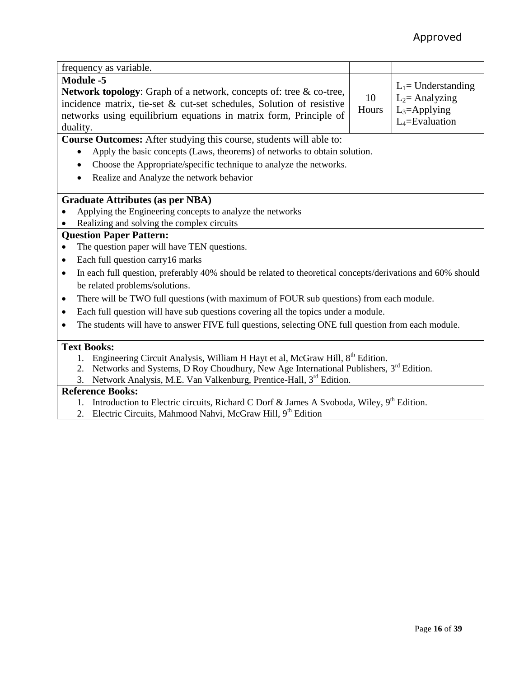| frequency as variable.                                                                                                                                                                                                                          |             |                                                                                    |
|-------------------------------------------------------------------------------------------------------------------------------------------------------------------------------------------------------------------------------------------------|-------------|------------------------------------------------------------------------------------|
| <b>Module -5</b><br>Network topology: Graph of a network, concepts of: tree & co-tree,<br>incidence matrix, tie-set & cut-set schedules, Solution of resistive<br>networks using equilibrium equations in matrix form, Principle of<br>duality. | 10<br>Hours | $L_1$ = Understanding<br>$L_2$ = Analyzing<br>$L_3$ =Applying<br>$L_4$ =Evaluation |
| Course Outcomes: After studying this course, students will able to:                                                                                                                                                                             |             |                                                                                    |
| Apply the basic concepts (Laws, theorems) of networks to obtain solution.                                                                                                                                                                       |             |                                                                                    |
| Choose the Appropriate/specific technique to analyze the networks.                                                                                                                                                                              |             |                                                                                    |
| Realize and Analyze the network behavior<br>$\bullet$                                                                                                                                                                                           |             |                                                                                    |
|                                                                                                                                                                                                                                                 |             |                                                                                    |
| <b>Graduate Attributes (as per NBA)</b>                                                                                                                                                                                                         |             |                                                                                    |
| Applying the Engineering concepts to analyze the networks                                                                                                                                                                                       |             |                                                                                    |
| Realizing and solving the complex circuits                                                                                                                                                                                                      |             |                                                                                    |
| <b>Question Paper Pattern:</b>                                                                                                                                                                                                                  |             |                                                                                    |
| The question paper will have TEN questions.                                                                                                                                                                                                     |             |                                                                                    |
| Each full question carry 16 marks<br>$\bullet$                                                                                                                                                                                                  |             |                                                                                    |
| In each full question, preferably 40% should be related to theoretical concepts/derivations and 60% should<br>$\bullet$                                                                                                                         |             |                                                                                    |
| be related problems/solutions.                                                                                                                                                                                                                  |             |                                                                                    |
| There will be TWO full questions (with maximum of FOUR sub questions) from each module.<br>$\bullet$                                                                                                                                            |             |                                                                                    |
| Each full question will have sub questions covering all the topics under a module.<br>$\bullet$                                                                                                                                                 |             |                                                                                    |
| The students will have to answer FIVE full questions, selecting ONE full question from each module.                                                                                                                                             |             |                                                                                    |
|                                                                                                                                                                                                                                                 |             |                                                                                    |
| <b>Text Books:</b>                                                                                                                                                                                                                              |             |                                                                                    |
| Engineering Circuit Analysis, William H Hayt et al, McGraw Hill, 8 <sup>th</sup> Edition.                                                                                                                                                       |             |                                                                                    |
| Networks and Systems, D Roy Choudhury, New Age International Publishers, 3 <sup>rd</sup> Edition.<br>2.                                                                                                                                         |             |                                                                                    |
| Network Analysis, M.E. Van Valkenburg, Prentice-Hall, 3rd Edition.<br>3.                                                                                                                                                                        |             |                                                                                    |
| <b>Reference Books:</b>                                                                                                                                                                                                                         |             |                                                                                    |
| 1. Introduction to Electric circuits, Richard C Dorf & James A Svoboda, Wiley, 9 <sup>th</sup> Edition.                                                                                                                                         |             |                                                                                    |

2. Electric Circuits, Mahmood Nahvi, McGraw Hill, 9th Edition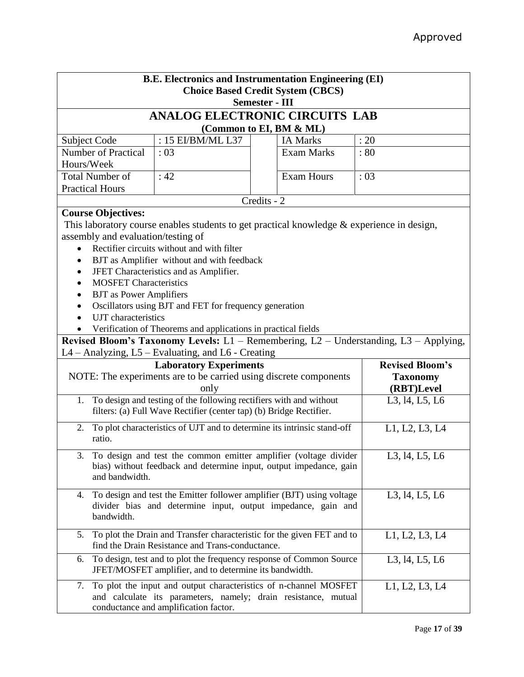| <b>B.E. Electronics and Instrumentation Engineering (EI)</b> |                                                                     |                                                                                            |                                                                                       |  |  |  |  |
|--------------------------------------------------------------|---------------------------------------------------------------------|--------------------------------------------------------------------------------------------|---------------------------------------------------------------------------------------|--|--|--|--|
|                                                              | <b>Choice Based Credit System (CBCS)</b>                            |                                                                                            |                                                                                       |  |  |  |  |
| <b>Semester - III</b>                                        |                                                                     |                                                                                            |                                                                                       |  |  |  |  |
| <b>ANALOG ELECTRONIC CIRCUITS LAB</b>                        |                                                                     |                                                                                            |                                                                                       |  |  |  |  |
| (Common to EI, BM & ML)                                      |                                                                     |                                                                                            |                                                                                       |  |  |  |  |
| Subject Code                                                 | : 15 EI/BM/ML L37                                                   | <b>IA Marks</b>                                                                            | : 20                                                                                  |  |  |  |  |
| <b>Number of Practical</b>                                   | :03                                                                 | <b>Exam Marks</b>                                                                          | : 80                                                                                  |  |  |  |  |
| Hours/Week                                                   |                                                                     |                                                                                            |                                                                                       |  |  |  |  |
| <b>Total Number of</b>                                       | :42                                                                 | <b>Exam Hours</b>                                                                          | :03                                                                                   |  |  |  |  |
| <b>Practical Hours</b>                                       |                                                                     |                                                                                            |                                                                                       |  |  |  |  |
|                                                              |                                                                     | Credits - 2                                                                                |                                                                                       |  |  |  |  |
| <b>Course Objectives:</b>                                    |                                                                     |                                                                                            |                                                                                       |  |  |  |  |
|                                                              |                                                                     | This laboratory course enables students to get practical knowledge & experience in design, |                                                                                       |  |  |  |  |
| assembly and evaluation/testing of                           |                                                                     |                                                                                            |                                                                                       |  |  |  |  |
| $\bullet$                                                    | Rectifier circuits without and with filter                          |                                                                                            |                                                                                       |  |  |  |  |
| $\bullet$                                                    | BJT as Amplifier without and with feedback                          |                                                                                            |                                                                                       |  |  |  |  |
| ٠                                                            | JFET Characteristics and as Amplifier.                              |                                                                                            |                                                                                       |  |  |  |  |
| <b>MOSFET Characteristics</b><br>$\bullet$                   |                                                                     |                                                                                            |                                                                                       |  |  |  |  |
| <b>BJT</b> as Power Amplifiers<br>٠                          |                                                                     |                                                                                            |                                                                                       |  |  |  |  |
| $\bullet$                                                    | Oscillators using BJT and FET for frequency generation              |                                                                                            |                                                                                       |  |  |  |  |
| UJT characteristics                                          |                                                                     |                                                                                            |                                                                                       |  |  |  |  |
|                                                              | Verification of Theorems and applications in practical fields       |                                                                                            |                                                                                       |  |  |  |  |
|                                                              |                                                                     |                                                                                            | Revised Bloom's Taxonomy Levels: L1 - Remembering, L2 - Understanding, L3 - Applying, |  |  |  |  |
| L4 - Analyzing, L5 - Evaluating, and L6 - Creating           |                                                                     |                                                                                            |                                                                                       |  |  |  |  |
| <b>Revised Bloom's</b><br><b>Laboratory Experiments</b>      |                                                                     |                                                                                            |                                                                                       |  |  |  |  |
|                                                              |                                                                     | NOTE: The experiments are to be carried using discrete components                          | <b>Taxonomy</b>                                                                       |  |  |  |  |
|                                                              | only                                                                |                                                                                            | (RBT)Level                                                                            |  |  |  |  |
| 1.                                                           | To design and testing of the following rectifiers with and without  |                                                                                            | L3, 14, L5, L6                                                                        |  |  |  |  |
|                                                              | filters: (a) Full Wave Rectifier (center tap) (b) Bridge Rectifier. |                                                                                            |                                                                                       |  |  |  |  |
| 2.                                                           |                                                                     | To plot characteristics of UJT and to determine its intrinsic stand-off                    | L1, L2, L3, L4                                                                        |  |  |  |  |
| ratio.                                                       |                                                                     |                                                                                            |                                                                                       |  |  |  |  |
|                                                              |                                                                     |                                                                                            |                                                                                       |  |  |  |  |
|                                                              |                                                                     | 3. To design and test the common emitter amplifier (voltage divider                        | L3, 14, L5, L6                                                                        |  |  |  |  |
|                                                              |                                                                     | bias) without feedback and determine input, output impedance, gain                         |                                                                                       |  |  |  |  |
| and bandwidth.                                               |                                                                     |                                                                                            |                                                                                       |  |  |  |  |
| 4.                                                           |                                                                     | To design and test the Emitter follower amplifier (BJT) using voltage                      | L3, 14, L5, L6                                                                        |  |  |  |  |
|                                                              |                                                                     | divider bias and determine input, output impedance, gain and                               |                                                                                       |  |  |  |  |
| bandwidth.                                                   |                                                                     |                                                                                            |                                                                                       |  |  |  |  |
|                                                              |                                                                     |                                                                                            |                                                                                       |  |  |  |  |
| 5.                                                           | find the Drain Resistance and Trans-conductance.                    | To plot the Drain and Transfer characteristic for the given FET and to                     | L1, L2, L3, L4                                                                        |  |  |  |  |
| 6.                                                           |                                                                     | To design, test and to plot the frequency response of Common Source                        | L3, 14, L5, L6                                                                        |  |  |  |  |
|                                                              | JFET/MOSFET amplifier, and to determine its bandwidth.              |                                                                                            |                                                                                       |  |  |  |  |
| 7.                                                           |                                                                     | To plot the input and output characteristics of n-channel MOSFET                           | L1, L2, L3, L4                                                                        |  |  |  |  |
|                                                              |                                                                     | and calculate its parameters, namely; drain resistance, mutual                             |                                                                                       |  |  |  |  |
|                                                              | conductance and amplification factor.                               |                                                                                            |                                                                                       |  |  |  |  |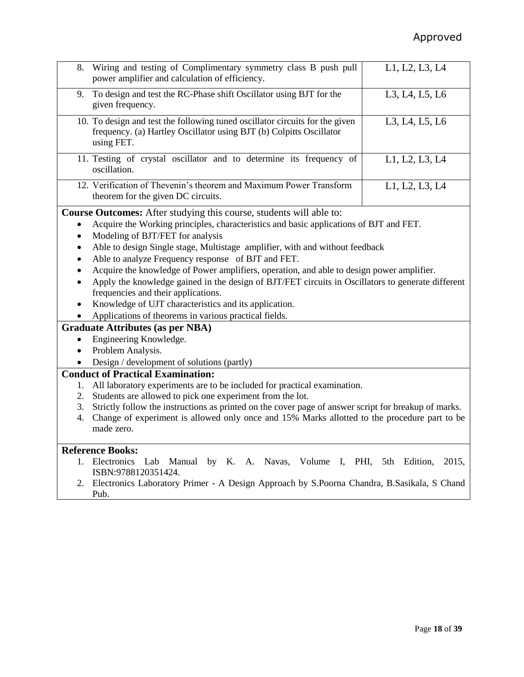| 8.                   | Wiring and testing of Complimentary symmetry class B push pull<br>power amplifier and calculation of efficiency.                                                                                                                                                                                                                                                                                                                                                                                                                                                                                                                                                                                                                                                                             | L1, L2, L3, L4                   |  |  |  |  |
|----------------------|----------------------------------------------------------------------------------------------------------------------------------------------------------------------------------------------------------------------------------------------------------------------------------------------------------------------------------------------------------------------------------------------------------------------------------------------------------------------------------------------------------------------------------------------------------------------------------------------------------------------------------------------------------------------------------------------------------------------------------------------------------------------------------------------|----------------------------------|--|--|--|--|
| 9.                   | To design and test the RC-Phase shift Oscillator using BJT for the<br>given frequency.                                                                                                                                                                                                                                                                                                                                                                                                                                                                                                                                                                                                                                                                                                       | L3, L4, L5, L6                   |  |  |  |  |
|                      | 10. To design and test the following tuned oscillator circuits for the given<br>frequency. (a) Hartley Oscillator using BJT (b) Colpitts Oscillator<br>using FET.                                                                                                                                                                                                                                                                                                                                                                                                                                                                                                                                                                                                                            | L3, L4, L5, L6                   |  |  |  |  |
|                      | 11. Testing of crystal oscillator and to determine its frequency of<br>oscillation.                                                                                                                                                                                                                                                                                                                                                                                                                                                                                                                                                                                                                                                                                                          | L1, L2, L3, L4                   |  |  |  |  |
|                      | 12. Verification of Thevenin's theorem and Maximum Power Transform<br>theorem for the given DC circuits.                                                                                                                                                                                                                                                                                                                                                                                                                                                                                                                                                                                                                                                                                     | L1, L2, L3, L4                   |  |  |  |  |
| $\bullet$            | Course Outcomes: After studying this course, students will able to:<br>Acquire the Working principles, characteristics and basic applications of BJT and FET.<br>Modeling of BJT/FET for analysis<br>Able to design Single stage, Multistage amplifier, with and without feedback<br>Able to analyze Frequency response of BJT and FET.<br>Acquire the knowledge of Power amplifiers, operation, and able to design power amplifier.<br>Apply the knowledge gained in the design of BJT/FET circuits in Oscillators to generate different<br>frequencies and their applications.<br>Knowledge of UJT characteristics and its application.<br>Applications of theorems in various practical fields.<br><b>Graduate Attributes (as per NBA)</b><br>Engineering Knowledge.<br>Problem Analysis. |                                  |  |  |  |  |
|                      | Design / development of solutions (partly)                                                                                                                                                                                                                                                                                                                                                                                                                                                                                                                                                                                                                                                                                                                                                   |                                  |  |  |  |  |
|                      |                                                                                                                                                                                                                                                                                                                                                                                                                                                                                                                                                                                                                                                                                                                                                                                              |                                  |  |  |  |  |
| 1.<br>2.<br>3.<br>4. | <b>Conduct of Practical Examination:</b><br>All laboratory experiments are to be included for practical examination.<br>Students are allowed to pick one experiment from the lot.<br>Strictly follow the instructions as printed on the cover page of answer script for breakup of marks.<br>Change of experiment is allowed only once and 15% Marks allotted to the procedure part to be<br>made zero.                                                                                                                                                                                                                                                                                                                                                                                      |                                  |  |  |  |  |
|                      | <b>Reference Books:</b>                                                                                                                                                                                                                                                                                                                                                                                                                                                                                                                                                                                                                                                                                                                                                                      |                                  |  |  |  |  |
| 1.                   | Electronics Lab<br>Manual by K. A.<br>Volume<br>$\mathbf{I}_{\bullet}$<br>Navas,                                                                                                                                                                                                                                                                                                                                                                                                                                                                                                                                                                                                                                                                                                             | PHI,<br>Edition,<br>2015,<br>5th |  |  |  |  |

- ISBN:9788120351424.
	- 2. Electronics Laboratory Primer A Design Approach by S.Poorna Chandra, B.Sasikala, S Chand Pub.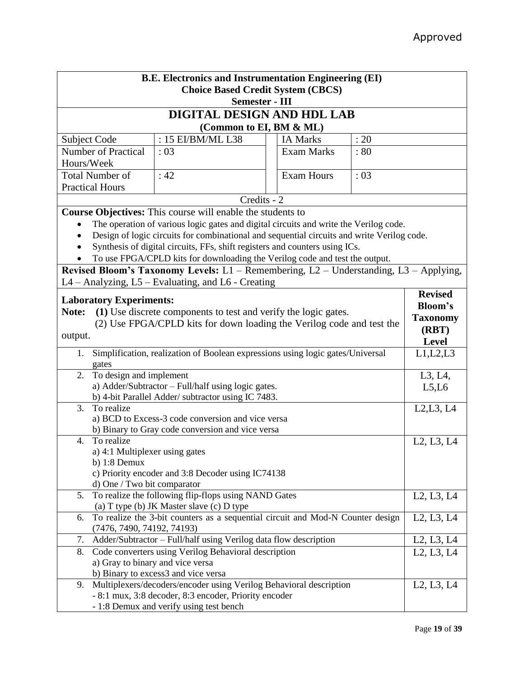| <b>B.E. Electronics and Instrumentation Engineering (EI)</b>                                  |                                                                                            |  |                   |              |                                                  |  |
|-----------------------------------------------------------------------------------------------|--------------------------------------------------------------------------------------------|--|-------------------|--------------|--------------------------------------------------|--|
|                                                                                               | <b>Choice Based Credit System (CBCS)</b>                                                   |  |                   |              |                                                  |  |
| <b>Semester - III</b>                                                                         |                                                                                            |  |                   |              |                                                  |  |
| DIGITAL DESIGN AND HDL LAB                                                                    |                                                                                            |  |                   |              |                                                  |  |
| (Common to EI, BM & ML)                                                                       |                                                                                            |  |                   |              |                                                  |  |
| Subject Code                                                                                  | : 15 EI/BM/ML L38                                                                          |  | <b>IA Marks</b>   | : 20         |                                                  |  |
| <b>Number of Practical</b>                                                                    | :03                                                                                        |  | <b>Exam Marks</b> | :80          |                                                  |  |
| Hours/Week                                                                                    |                                                                                            |  |                   |              |                                                  |  |
| <b>Total Number of</b>                                                                        | :42                                                                                        |  | <b>Exam Hours</b> |              |                                                  |  |
| <b>Practical Hours</b>                                                                        |                                                                                            |  |                   | : 03         |                                                  |  |
|                                                                                               | Credits - 2                                                                                |  |                   |              |                                                  |  |
|                                                                                               | Course Objectives: This course will enable the students to                                 |  |                   |              |                                                  |  |
|                                                                                               | The operation of various logic gates and digital circuits and write the Verilog code.      |  |                   |              |                                                  |  |
|                                                                                               | Design of logic circuits for combinational and sequential circuits and write Verilog code. |  |                   |              |                                                  |  |
|                                                                                               | Synthesis of digital circuits, FFs, shift registers and counters using ICs.                |  |                   |              |                                                  |  |
|                                                                                               | To use FPGA/CPLD kits for downloading the Verilog code and test the output.                |  |                   |              |                                                  |  |
|                                                                                               | Revised Bloom's Taxonomy Levels: L1 - Remembering, L2 - Understanding, L3 - Applying,      |  |                   |              |                                                  |  |
|                                                                                               | L4 – Analyzing, L5 – Evaluating, and L6 - Creating                                         |  |                   |              |                                                  |  |
|                                                                                               |                                                                                            |  |                   |              | <b>Revised</b>                                   |  |
| <b>Laboratory Experiments:</b>                                                                |                                                                                            |  |                   |              | <b>Bloom's</b>                                   |  |
| Note:                                                                                         | (1) Use discrete components to test and verify the logic gates.                            |  |                   |              |                                                  |  |
|                                                                                               | (2) Use FPGA/CPLD kits for down loading the Verilog code and test the                      |  |                   |              | <b>Taxonomy</b>                                  |  |
| output.                                                                                       |                                                                                            |  |                   | (RBT)        |                                                  |  |
|                                                                                               |                                                                                            |  |                   | <b>Level</b> |                                                  |  |
| Simplification, realization of Boolean expressions using logic gates/Universal<br>1.<br>gates |                                                                                            |  |                   | L1, L2, L3   |                                                  |  |
| To design and implement<br>2.                                                                 |                                                                                            |  |                   |              | L3, L4,                                          |  |
|                                                                                               | a) Adder/Subtractor - Full/half using logic gates.                                         |  |                   |              | L5,L6                                            |  |
|                                                                                               | b) 4-bit Parallel Adder/ subtractor using IC 7483.                                         |  |                   |              |                                                  |  |
| To realize<br>3.                                                                              |                                                                                            |  |                   |              | L2, L3, L4                                       |  |
|                                                                                               | a) BCD to Excess-3 code conversion and vice versa                                          |  |                   |              |                                                  |  |
|                                                                                               | b) Binary to Gray code conversion and vice versa                                           |  |                   |              |                                                  |  |
| $\overline{4}$ .<br>To realize                                                                |                                                                                            |  |                   |              | L2, L3, L4                                       |  |
| a) 4:1 Multiplexer using gates                                                                |                                                                                            |  |                   |              |                                                  |  |
| b) $1:8$ Demux                                                                                |                                                                                            |  |                   |              |                                                  |  |
|                                                                                               | c) Priority encoder and 3:8 Decoder using IC74138                                          |  |                   |              |                                                  |  |
| d) One / Two bit comparator                                                                   |                                                                                            |  |                   |              |                                                  |  |
| 5.                                                                                            | To realize the following flip-flops using NAND Gates                                       |  |                   |              | L2, L3, L4                                       |  |
|                                                                                               | (a) T type (b) JK Master slave (c) D type                                                  |  |                   |              |                                                  |  |
| 6.                                                                                            | To realize the 3-bit counters as a sequential circuit and Mod-N Counter design             |  |                   |              | L <sub>2</sub> , L <sub>3</sub> , L <sub>4</sub> |  |
| (7476, 7490, 74192, 74193)                                                                    |                                                                                            |  |                   |              |                                                  |  |
| 7.                                                                                            | Adder/Subtractor - Full/half using Verilog data flow description                           |  |                   |              | L <sub>2</sub> , L <sub>3</sub> , L <sub>4</sub> |  |
| 8.                                                                                            | Code converters using Verilog Behavioral description                                       |  |                   |              | L2, L3, L4                                       |  |
|                                                                                               | a) Gray to binary and vice versa                                                           |  |                   |              |                                                  |  |
|                                                                                               | b) Binary to excess3 and vice versa                                                        |  |                   |              |                                                  |  |
| 9.                                                                                            | Multiplexers/decoders/encoder using Verilog Behavioral description                         |  |                   |              | L2, L3, L4                                       |  |
|                                                                                               | - 8:1 mux, 3:8 decoder, 8:3 encoder, Priority encoder                                      |  |                   |              |                                                  |  |
|                                                                                               | - 1:8 Demux and verify using test bench                                                    |  |                   |              |                                                  |  |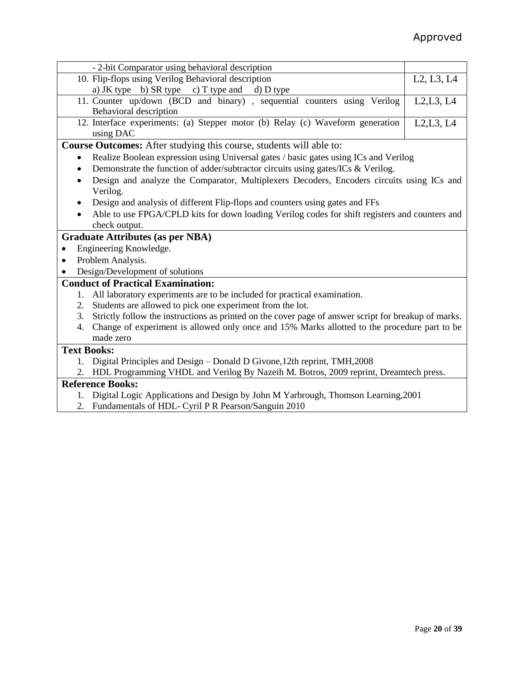| - 2-bit Comparator using behavioral description                                                                                                                                                                                                                                                                                   |            |  |  |  |  |  |
|-----------------------------------------------------------------------------------------------------------------------------------------------------------------------------------------------------------------------------------------------------------------------------------------------------------------------------------|------------|--|--|--|--|--|
| 10. Flip-flops using Verilog Behavioral description                                                                                                                                                                                                                                                                               | L2, L3, L4 |  |  |  |  |  |
| a) JK type b) SR type c) T type and d) D type                                                                                                                                                                                                                                                                                     |            |  |  |  |  |  |
| 11. Counter up/down (BCD and binary), sequential counters using Verilog                                                                                                                                                                                                                                                           | L2, L3, L4 |  |  |  |  |  |
| Behavioral description                                                                                                                                                                                                                                                                                                            |            |  |  |  |  |  |
| 12. Interface experiments: (a) Stepper motor (b) Relay (c) Waveform generation<br>L2, L3, L4                                                                                                                                                                                                                                      |            |  |  |  |  |  |
| using DAC                                                                                                                                                                                                                                                                                                                         |            |  |  |  |  |  |
| <b>Course Outcomes:</b> After studying this course, students will able to:                                                                                                                                                                                                                                                        |            |  |  |  |  |  |
| Realize Boolean expression using Universal gates / basic gates using ICs and Verilog                                                                                                                                                                                                                                              |            |  |  |  |  |  |
| Demonstrate the function of adder/subtractor circuits using gates/ICs & Verilog.<br>$\bullet$                                                                                                                                                                                                                                     |            |  |  |  |  |  |
| Design and analyze the Comparator, Multiplexers Decoders, Encoders circuits using ICs and<br>$\bullet$                                                                                                                                                                                                                            |            |  |  |  |  |  |
| Verilog.                                                                                                                                                                                                                                                                                                                          |            |  |  |  |  |  |
| Design and analysis of different Flip-flops and counters using gates and FFs                                                                                                                                                                                                                                                      |            |  |  |  |  |  |
| Able to use FPGA/CPLD kits for down loading Verilog codes for shift registers and counters and                                                                                                                                                                                                                                    |            |  |  |  |  |  |
| check output.                                                                                                                                                                                                                                                                                                                     |            |  |  |  |  |  |
| <b>Graduate Attributes (as per NBA)</b>                                                                                                                                                                                                                                                                                           |            |  |  |  |  |  |
| Engineering Knowledge.                                                                                                                                                                                                                                                                                                            |            |  |  |  |  |  |
| Problem Analysis.                                                                                                                                                                                                                                                                                                                 |            |  |  |  |  |  |
| Design/Development of solutions                                                                                                                                                                                                                                                                                                   |            |  |  |  |  |  |
|                                                                                                                                                                                                                                                                                                                                   |            |  |  |  |  |  |
| <b>Conduct of Practical Examination:</b>                                                                                                                                                                                                                                                                                          |            |  |  |  |  |  |
| All laboratory experiments are to be included for practical examination.<br>$1_{\cdots}$                                                                                                                                                                                                                                          |            |  |  |  |  |  |
| Students are allowed to pick one experiment from the lot.<br>2.                                                                                                                                                                                                                                                                   |            |  |  |  |  |  |
| Strictly follow the instructions as printed on the cover page of answer script for breakup of marks.<br>3.                                                                                                                                                                                                                        |            |  |  |  |  |  |
| Change of experiment is allowed only once and 15% Marks allotted to the procedure part to be<br>4.                                                                                                                                                                                                                                |            |  |  |  |  |  |
| made zero                                                                                                                                                                                                                                                                                                                         |            |  |  |  |  |  |
| <b>Text Books:</b>                                                                                                                                                                                                                                                                                                                |            |  |  |  |  |  |
| 1. Digital Principles and Design – Donald D Givone, 12th reprint, TMH, 2008                                                                                                                                                                                                                                                       |            |  |  |  |  |  |
| HDL Programming VHDL and Verilog By Nazeih M. Botros, 2009 reprint, Dreamtech press.<br>2.                                                                                                                                                                                                                                        |            |  |  |  |  |  |
| <b>Reference Books:</b>                                                                                                                                                                                                                                                                                                           |            |  |  |  |  |  |
| $\mathbf{A}$ and $\mathbf{A}$ and $\mathbf{A}$ and $\mathbf{A}$ and $\mathbf{A}$ and $\mathbf{A}$ and $\mathbf{A}$ and $\mathbf{A}$ and $\mathbf{A}$ and $\mathbf{A}$ and $\mathbf{A}$ and $\mathbf{A}$ and $\mathbf{A}$ and $\mathbf{A}$ and $\mathbf{A}$ and $\mathbf{A}$ and $\mathbf{A}$ and<br>$\mathbf{1}$ and $\mathbf{1}$ | 0.001      |  |  |  |  |  |

- 1. Digital Logic Applications and Design by John M Yarbrough, Thomson Learning,2001
- 2. Fundamentals of HDL- Cyril P R Pearson/Sanguin 2010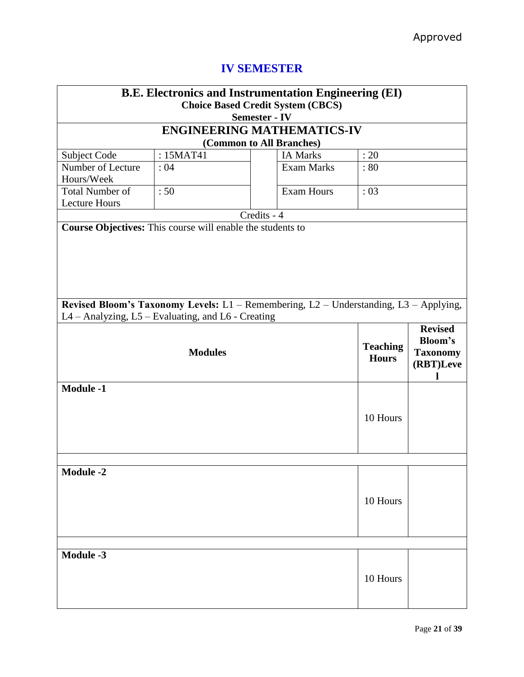| <b>B.E. Electronics and Instrumentation Engineering (EI)</b><br><b>Choice Based Credit System (CBCS)</b><br><b>Semester - IV</b>            |                                                            |                          |                   |                                 |                                                                  |  |  |
|---------------------------------------------------------------------------------------------------------------------------------------------|------------------------------------------------------------|--------------------------|-------------------|---------------------------------|------------------------------------------------------------------|--|--|
| <b>ENGINEERING MATHEMATICS-IV</b>                                                                                                           |                                                            |                          |                   |                                 |                                                                  |  |  |
|                                                                                                                                             |                                                            | (Common to All Branches) |                   |                                 |                                                                  |  |  |
| Subject Code                                                                                                                                | : 15MAT41                                                  |                          | <b>IA Marks</b>   | : 20                            |                                                                  |  |  |
| Number of Lecture<br>Hours/Week                                                                                                             | : 04                                                       |                          | <b>Exam Marks</b> | $\therefore 80$                 |                                                                  |  |  |
| <b>Total Number of</b><br><b>Lecture Hours</b>                                                                                              | :50                                                        |                          | <b>Exam Hours</b> | : 03                            |                                                                  |  |  |
|                                                                                                                                             |                                                            | Credits - 4              |                   |                                 |                                                                  |  |  |
|                                                                                                                                             | Course Objectives: This course will enable the students to |                          |                   |                                 |                                                                  |  |  |
| Revised Bloom's Taxonomy Levels: L1 - Remembering, L2 - Understanding, L3 - Applying,<br>L4 - Analyzing, L5 - Evaluating, and L6 - Creating |                                                            |                          |                   |                                 |                                                                  |  |  |
| <b>Modules</b>                                                                                                                              |                                                            |                          |                   | <b>Teaching</b><br><b>Hours</b> | <b>Revised</b><br><b>Bloom's</b><br><b>Taxonomy</b><br>(RBT)Leve |  |  |
| <b>Module -1</b>                                                                                                                            | 10 Hours                                                   |                          |                   |                                 |                                                                  |  |  |
|                                                                                                                                             |                                                            |                          |                   |                                 |                                                                  |  |  |
| <b>Module -2</b><br>10 Hours                                                                                                                |                                                            |                          |                   |                                 |                                                                  |  |  |
|                                                                                                                                             |                                                            |                          |                   |                                 |                                                                  |  |  |
| <b>Module -3</b>                                                                                                                            |                                                            |                          |                   | 10 Hours                        |                                                                  |  |  |

# **IV SEMESTER**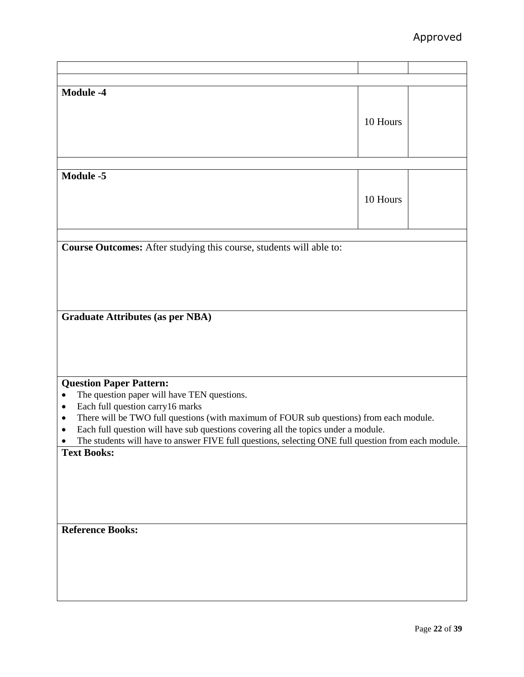| <b>Module -4</b>                                                                                     |          |  |
|------------------------------------------------------------------------------------------------------|----------|--|
|                                                                                                      |          |  |
|                                                                                                      |          |  |
|                                                                                                      | 10 Hours |  |
|                                                                                                      |          |  |
|                                                                                                      |          |  |
|                                                                                                      |          |  |
|                                                                                                      |          |  |
|                                                                                                      |          |  |
| <b>Module -5</b>                                                                                     |          |  |
|                                                                                                      |          |  |
|                                                                                                      | 10 Hours |  |
|                                                                                                      |          |  |
|                                                                                                      |          |  |
|                                                                                                      |          |  |
|                                                                                                      |          |  |
| Course Outcomes: After studying this course, students will able to:                                  |          |  |
|                                                                                                      |          |  |
|                                                                                                      |          |  |
|                                                                                                      |          |  |
|                                                                                                      |          |  |
|                                                                                                      |          |  |
|                                                                                                      |          |  |
| <b>Graduate Attributes (as per NBA)</b>                                                              |          |  |
|                                                                                                      |          |  |
|                                                                                                      |          |  |
|                                                                                                      |          |  |
|                                                                                                      |          |  |
|                                                                                                      |          |  |
|                                                                                                      |          |  |
| <b>Question Paper Pattern:</b>                                                                       |          |  |
| The question paper will have TEN questions.                                                          |          |  |
| Each full question carry16 marks<br>٠                                                                |          |  |
| There will be TWO full questions (with maximum of FOUR sub questions) from each module.<br>$\bullet$ |          |  |
|                                                                                                      |          |  |
| Each full question will have sub questions covering all the topics under a module.<br>٠              |          |  |
| The students will have to answer FIVE full questions, selecting ONE full question from each module.  |          |  |
| <b>Text Books:</b>                                                                                   |          |  |
|                                                                                                      |          |  |
|                                                                                                      |          |  |
|                                                                                                      |          |  |
|                                                                                                      |          |  |
|                                                                                                      |          |  |
|                                                                                                      |          |  |
|                                                                                                      |          |  |
| <b>Reference Books:</b>                                                                              |          |  |
|                                                                                                      |          |  |
|                                                                                                      |          |  |
|                                                                                                      |          |  |
|                                                                                                      |          |  |
|                                                                                                      |          |  |
|                                                                                                      |          |  |
|                                                                                                      |          |  |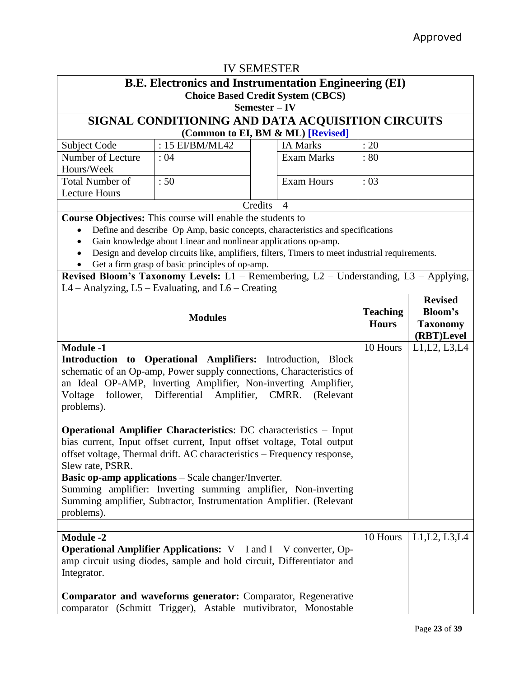| <b>IV SEMESTER</b>                                                                                                                                                                                                                                                                                                                                                                                                                                                    |                                                                                                                                                        |               |                                   |                                              |                              |  |  |
|-----------------------------------------------------------------------------------------------------------------------------------------------------------------------------------------------------------------------------------------------------------------------------------------------------------------------------------------------------------------------------------------------------------------------------------------------------------------------|--------------------------------------------------------------------------------------------------------------------------------------------------------|---------------|-----------------------------------|----------------------------------------------|------------------------------|--|--|
| <b>B.E. Electronics and Instrumentation Engineering (EI)</b>                                                                                                                                                                                                                                                                                                                                                                                                          |                                                                                                                                                        |               |                                   |                                              |                              |  |  |
| <b>Choice Based Credit System (CBCS)</b>                                                                                                                                                                                                                                                                                                                                                                                                                              |                                                                                                                                                        |               |                                   |                                              |                              |  |  |
|                                                                                                                                                                                                                                                                                                                                                                                                                                                                       | Semester – IV                                                                                                                                          |               |                                   |                                              |                              |  |  |
|                                                                                                                                                                                                                                                                                                                                                                                                                                                                       | SIGNAL CONDITIONING AND DATA ACQUISITION CIRCUITS                                                                                                      |               |                                   |                                              |                              |  |  |
|                                                                                                                                                                                                                                                                                                                                                                                                                                                                       |                                                                                                                                                        |               | (Common to EI, BM & ML) [Revised] |                                              |                              |  |  |
| Subject Code                                                                                                                                                                                                                                                                                                                                                                                                                                                          | : 15 EI/BM/ML42                                                                                                                                        |               | <b>IA Marks</b>                   | : 20                                         |                              |  |  |
| Number of Lecture<br>Hours/Week                                                                                                                                                                                                                                                                                                                                                                                                                                       | :04                                                                                                                                                    |               | <b>Exam Marks</b>                 | : 80                                         |                              |  |  |
| <b>Total Number of</b><br><b>Lecture Hours</b>                                                                                                                                                                                                                                                                                                                                                                                                                        | :50                                                                                                                                                    |               | <b>Exam Hours</b>                 | : 03                                         |                              |  |  |
|                                                                                                                                                                                                                                                                                                                                                                                                                                                                       |                                                                                                                                                        | $Credits - 4$ |                                   |                                              |                              |  |  |
|                                                                                                                                                                                                                                                                                                                                                                                                                                                                       | <b>Course Objectives:</b> This course will enable the students to                                                                                      |               |                                   |                                              |                              |  |  |
|                                                                                                                                                                                                                                                                                                                                                                                                                                                                       | Define and describe Op Amp, basic concepts, characteristics and specifications                                                                         |               |                                   |                                              |                              |  |  |
| $\bullet$                                                                                                                                                                                                                                                                                                                                                                                                                                                             | Gain knowledge about Linear and nonlinear applications op-amp.                                                                                         |               |                                   |                                              |                              |  |  |
|                                                                                                                                                                                                                                                                                                                                                                                                                                                                       | Design and develop circuits like, amplifiers, filters, Timers to meet industrial requirements.                                                         |               |                                   |                                              |                              |  |  |
|                                                                                                                                                                                                                                                                                                                                                                                                                                                                       | Get a firm grasp of basic principles of op-amp.                                                                                                        |               |                                   |                                              |                              |  |  |
|                                                                                                                                                                                                                                                                                                                                                                                                                                                                       | Revised Bloom's Taxonomy Levels: L1 - Remembering, L2 - Understanding, L3 - Applying,                                                                  |               |                                   |                                              |                              |  |  |
|                                                                                                                                                                                                                                                                                                                                                                                                                                                                       | L4 - Analyzing, L5 - Evaluating, and L6 - Creating                                                                                                     |               |                                   |                                              |                              |  |  |
| <b>Modules</b>                                                                                                                                                                                                                                                                                                                                                                                                                                                        |                                                                                                                                                        |               | <b>Teaching</b><br><b>Hours</b>   | <b>Revised</b><br>Bloom's<br><b>Taxonomy</b> |                              |  |  |
|                                                                                                                                                                                                                                                                                                                                                                                                                                                                       |                                                                                                                                                        |               |                                   | 10 Hours                                     | (RBT)Level<br>L1, L2, L3, L4 |  |  |
| <b>Module -1</b><br>Introduction to Operational Amplifiers: Introduction, Block<br>schematic of an Op-amp, Power supply connections, Characteristics of<br>an Ideal OP-AMP, Inverting Amplifier, Non-inverting Amplifier,<br>Differential Amplifier,<br>Voltage<br>follower,<br>CMRR.<br>(Relevant<br>problems).                                                                                                                                                      |                                                                                                                                                        |               |                                   |                                              |                              |  |  |
| <b>Operational Amplifier Characteristics: DC characteristics - Input</b><br>bias current, Input offset current, Input offset voltage, Total output<br>offset voltage, Thermal drift. AC characteristics – Frequency response,<br>Slew rate, PSRR.<br><b>Basic op-amp applications</b> – Scale changer/Inverter.<br>Summing amplifier: Inverting summing amplifier, Non-inverting<br>Summing amplifier, Subtractor, Instrumentation Amplifier. (Relevant<br>problems). |                                                                                                                                                        |               |                                   |                                              |                              |  |  |
|                                                                                                                                                                                                                                                                                                                                                                                                                                                                       |                                                                                                                                                        |               |                                   |                                              |                              |  |  |
| <b>Module -2</b><br>Integrator.                                                                                                                                                                                                                                                                                                                                                                                                                                       | <b>Operational Amplifier Applications:</b> $V - I$ and $I - V$ converter, Op-<br>amp circuit using diodes, sample and hold circuit, Differentiator and |               |                                   | 10 Hours                                     | L1, L2, L3, L4               |  |  |
|                                                                                                                                                                                                                                                                                                                                                                                                                                                                       | <b>Comparator and waveforms generator:</b> Comparator, Regenerative<br>comparator (Schmitt Trigger), Astable mutivibrator, Monostable                  |               |                                   |                                              |                              |  |  |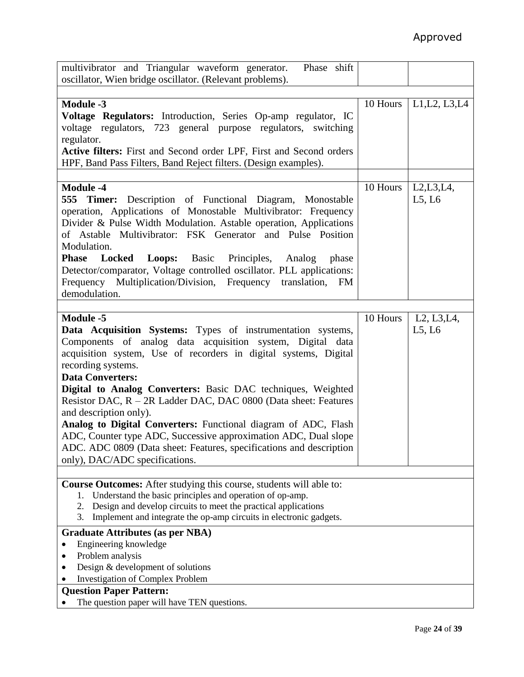| multivibrator and Triangular waveform generator.<br>Phase shift                                                                                                                                                                                                                                                                                                                                                                                                                                                                                                                                                                                           |          |                                                    |
|-----------------------------------------------------------------------------------------------------------------------------------------------------------------------------------------------------------------------------------------------------------------------------------------------------------------------------------------------------------------------------------------------------------------------------------------------------------------------------------------------------------------------------------------------------------------------------------------------------------------------------------------------------------|----------|----------------------------------------------------|
| oscillator, Wien bridge oscillator. (Relevant problems).                                                                                                                                                                                                                                                                                                                                                                                                                                                                                                                                                                                                  |          |                                                    |
|                                                                                                                                                                                                                                                                                                                                                                                                                                                                                                                                                                                                                                                           |          |                                                    |
| <b>Module -3</b><br>Voltage Regulators: Introduction, Series Op-amp regulator, IC<br>voltage regulators, 723 general purpose regulators, switching<br>regulator.<br>Active filters: First and Second order LPF, First and Second orders<br>HPF, Band Pass Filters, Band Reject filters. (Design examples).                                                                                                                                                                                                                                                                                                                                                | 10 Hours | L1, L2, L3, L4                                     |
|                                                                                                                                                                                                                                                                                                                                                                                                                                                                                                                                                                                                                                                           |          |                                                    |
| <b>Module -4</b><br><b>555 Timer:</b> Description of Functional Diagram, Monostable<br>operation, Applications of Monostable Multivibrator: Frequency<br>Divider & Pulse Width Modulation. Astable operation, Applications<br>of Astable Multivibrator: FSK Generator and Pulse Position<br>Modulation.<br><b>Locked</b><br><b>Loops:</b> Basic Principles,<br><b>Phase</b><br>Analog<br>phase<br>Detector/comparator, Voltage controlled oscillator. PLL applications:<br>Frequency Multiplication/Division, Frequency translation, FM<br>demodulation.                                                                                                  | 10 Hours | L2, L3, L4,<br>L5, L6                              |
| <b>Module -5</b>                                                                                                                                                                                                                                                                                                                                                                                                                                                                                                                                                                                                                                          | 10 Hours | L <sub>2</sub> , L <sub>3</sub> , L <sub>4</sub> , |
| Data Acquisition Systems: Types of instrumentation systems,<br>Components of analog data acquisition system, Digital data<br>acquisition system, Use of recorders in digital systems, Digital<br>recording systems.<br><b>Data Converters:</b><br>Digital to Analog Converters: Basic DAC techniques, Weighted<br>Resistor DAC, R – 2R Ladder DAC, DAC 0800 (Data sheet: Features<br>and description only).<br>Analog to Digital Converters: Functional diagram of ADC, Flash<br>ADC, Counter type ADC, Successive approximation ADC, Dual slope<br>ADC. ADC 0809 (Data sheet: Features, specifications and description<br>only), DAC/ADC specifications. |          | L5, L6                                             |
|                                                                                                                                                                                                                                                                                                                                                                                                                                                                                                                                                                                                                                                           |          |                                                    |
| Course Outcomes: After studying this course, students will able to:<br>Understand the basic principles and operation of op-amp.<br>1.<br>Design and develop circuits to meet the practical applications<br>2.<br>Implement and integrate the op-amp circuits in electronic gadgets.<br>3.                                                                                                                                                                                                                                                                                                                                                                 |          |                                                    |
| <b>Graduate Attributes (as per NBA)</b>                                                                                                                                                                                                                                                                                                                                                                                                                                                                                                                                                                                                                   |          |                                                    |
| Engineering knowledge                                                                                                                                                                                                                                                                                                                                                                                                                                                                                                                                                                                                                                     |          |                                                    |
| Problem analysis                                                                                                                                                                                                                                                                                                                                                                                                                                                                                                                                                                                                                                          |          |                                                    |
| Design & development of solutions                                                                                                                                                                                                                                                                                                                                                                                                                                                                                                                                                                                                                         |          |                                                    |
| <b>Investigation of Complex Problem</b>                                                                                                                                                                                                                                                                                                                                                                                                                                                                                                                                                                                                                   |          |                                                    |
| <b>Question Paper Pattern:</b><br>The question paper will have TEN questions.                                                                                                                                                                                                                                                                                                                                                                                                                                                                                                                                                                             |          |                                                    |
|                                                                                                                                                                                                                                                                                                                                                                                                                                                                                                                                                                                                                                                           |          |                                                    |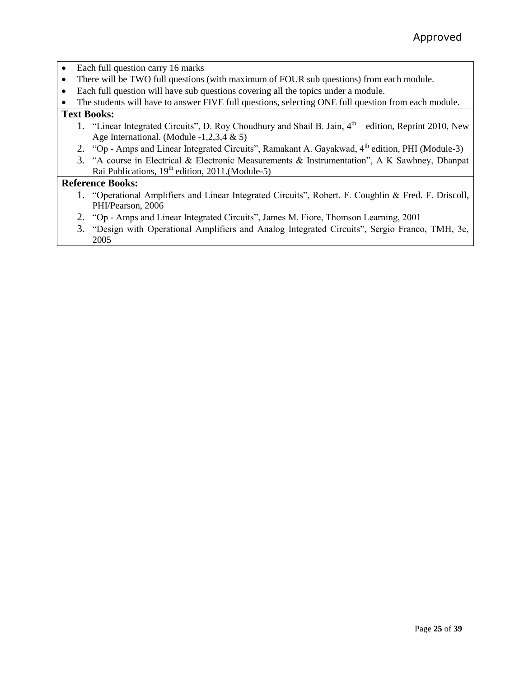| Each full question carry 16 marks                                                                                                                      |  |  |  |  |  |  |  |
|--------------------------------------------------------------------------------------------------------------------------------------------------------|--|--|--|--|--|--|--|
| There will be TWO full questions (with maximum of FOUR sub questions) from each module.                                                                |  |  |  |  |  |  |  |
| Each full question will have sub questions covering all the topics under a module.                                                                     |  |  |  |  |  |  |  |
| The students will have to answer FIVE full questions, selecting ONE full question from each module.                                                    |  |  |  |  |  |  |  |
| <b>Text Books:</b>                                                                                                                                     |  |  |  |  |  |  |  |
| 1. "Linear Integrated Circuits", D. Roy Choudhury and Shail B. Jain, 4th<br>edition, Reprint 2010, New<br>Age International. (Module $-1,2,3,4 \& 5$ ) |  |  |  |  |  |  |  |
| 2. "Op - Amps and Linear Integrated Circuits", Ramakant A. Gayakwad, 4 <sup>th</sup> edition, PHI (Module-3)                                           |  |  |  |  |  |  |  |
| 3. "A course in Electrical & Electronic Measurements & Instrumentation", A K Sawhney, Dhanpat                                                          |  |  |  |  |  |  |  |
| Rai Publications, $19th$ edition, 2011.(Module-5)                                                                                                      |  |  |  |  |  |  |  |
| <b>Reference Books:</b>                                                                                                                                |  |  |  |  |  |  |  |
| 1. "Operational Amplifiers and Linear Integrated Circuits", Robert. F. Coughlin & Fred. F. Driscoll,                                                   |  |  |  |  |  |  |  |
| PHI/Pearson, 2006                                                                                                                                      |  |  |  |  |  |  |  |
| 2. "Op - Amps and Linear Integrated Circuits", James M. Fiore, Thomson Learning, 2001                                                                  |  |  |  |  |  |  |  |
| 3. "Design with Operational Amplifiers and Analog Integrated Circuits", Sergio Franco, TMH, 3e,                                                        |  |  |  |  |  |  |  |
| 2005                                                                                                                                                   |  |  |  |  |  |  |  |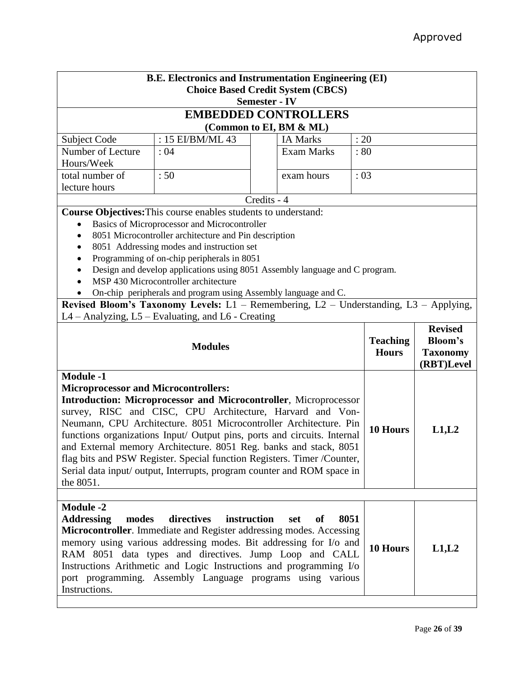|                                             | <b>B.E. Electronics and Instrumentation Engineering (EI)</b>                                                                                       |             |                                          |                 |                               |       |  |
|---------------------------------------------|----------------------------------------------------------------------------------------------------------------------------------------------------|-------------|------------------------------------------|-----------------|-------------------------------|-------|--|
|                                             |                                                                                                                                                    |             | <b>Choice Based Credit System (CBCS)</b> |                 |                               |       |  |
| <b>Semester - IV</b>                        |                                                                                                                                                    |             |                                          |                 |                               |       |  |
|                                             | <b>EMBEDDED CONTROLLERS</b>                                                                                                                        |             |                                          |                 |                               |       |  |
| (Common to EI, BM & ML)                     |                                                                                                                                                    |             |                                          |                 |                               |       |  |
| Subject Code                                | : 15 EI/BM/ML $\overline{43}$                                                                                                                      |             | <b>IA Marks</b>                          | : 20            |                               |       |  |
| Number of Lecture                           | <b>Exam Marks</b><br>:04<br>: 80<br>Hours/Week                                                                                                     |             |                                          |                 |                               |       |  |
| total number of                             | :50                                                                                                                                                |             | exam hours                               | : 03            |                               |       |  |
| lecture hours                               |                                                                                                                                                    |             |                                          |                 |                               |       |  |
|                                             |                                                                                                                                                    | Credits - 4 |                                          |                 |                               |       |  |
|                                             | <b>Course Objectives:</b> This course enables students to understand:                                                                              |             |                                          |                 |                               |       |  |
| $\bullet$                                   | Basics of Microprocessor and Microcontroller                                                                                                       |             |                                          |                 |                               |       |  |
|                                             | 8051 Microcontroller architecture and Pin description                                                                                              |             |                                          |                 |                               |       |  |
|                                             | 8051 Addressing modes and instruction set                                                                                                          |             |                                          |                 |                               |       |  |
|                                             | Programming of on-chip peripherals in 8051                                                                                                         |             |                                          |                 |                               |       |  |
|                                             | Design and develop applications using 8051 Assembly language and C program.                                                                        |             |                                          |                 |                               |       |  |
|                                             | MSP 430 Microcontroller architecture                                                                                                               |             |                                          |                 |                               |       |  |
|                                             | On-chip peripherals and program using Assembly language and C.                                                                                     |             |                                          |                 |                               |       |  |
|                                             | Revised Bloom's Taxonomy Levels: L1 - Remembering, L2 - Understanding, L3 - Applying,                                                              |             |                                          |                 |                               |       |  |
|                                             | $L4 -$ Analyzing, $L5 -$ Evaluating, and $L6 -$ Creating                                                                                           |             |                                          |                 |                               |       |  |
|                                             |                                                                                                                                                    |             |                                          |                 | <b>Revised</b>                |       |  |
| <b>Modules</b>                              |                                                                                                                                                    |             |                                          | <b>Teaching</b> | Bloom's                       |       |  |
|                                             |                                                                                                                                                    |             |                                          | <b>Hours</b>    | <b>Taxonomy</b><br>(RBT)Level |       |  |
| <b>Module -1</b>                            |                                                                                                                                                    |             |                                          |                 |                               |       |  |
|                                             |                                                                                                                                                    |             |                                          |                 |                               |       |  |
|                                             |                                                                                                                                                    |             |                                          |                 |                               |       |  |
| <b>Microprocessor and Microcontrollers:</b> |                                                                                                                                                    |             |                                          |                 |                               |       |  |
|                                             | <b>Introduction: Microprocessor and Microcontroller, Microprocessor</b>                                                                            |             |                                          |                 |                               |       |  |
|                                             | survey, RISC and CISC, CPU Architecture, Harvard and Von-                                                                                          |             |                                          |                 |                               |       |  |
|                                             | Neumann, CPU Architecture. 8051 Microcontroller Architecture. Pin                                                                                  |             |                                          |                 | 10 Hours                      | L1,L2 |  |
|                                             | functions organizations Input/ Output pins, ports and circuits. Internal                                                                           |             |                                          |                 |                               |       |  |
|                                             | and External memory Architecture. 8051 Reg. banks and stack, 8051                                                                                  |             |                                          |                 |                               |       |  |
|                                             | flag bits and PSW Register. Special function Registers. Timer /Counter,<br>Serial data input/ output, Interrupts, program counter and ROM space in |             |                                          |                 |                               |       |  |
| the 8051.                                   |                                                                                                                                                    |             |                                          |                 |                               |       |  |
|                                             |                                                                                                                                                    |             |                                          |                 |                               |       |  |
| <b>Module -2</b>                            |                                                                                                                                                    |             |                                          |                 |                               |       |  |
| <b>Addressing</b><br>modes                  | directives                                                                                                                                         | instruction | 8051<br>set<br>of                        |                 |                               |       |  |
|                                             | Microcontroller. Immediate and Register addressing modes. Accessing                                                                                |             |                                          |                 |                               |       |  |
|                                             | memory using various addressing modes. Bit addressing for I/o and                                                                                  |             |                                          |                 | 10 Hours                      |       |  |
|                                             | RAM 8051 data types and directives. Jump Loop and CALL                                                                                             |             |                                          |                 |                               | L1,L2 |  |
|                                             | Instructions Arithmetic and Logic Instructions and programming I/o                                                                                 |             |                                          |                 |                               |       |  |
| Instructions.                               | port programming. Assembly Language programs using various                                                                                         |             |                                          |                 |                               |       |  |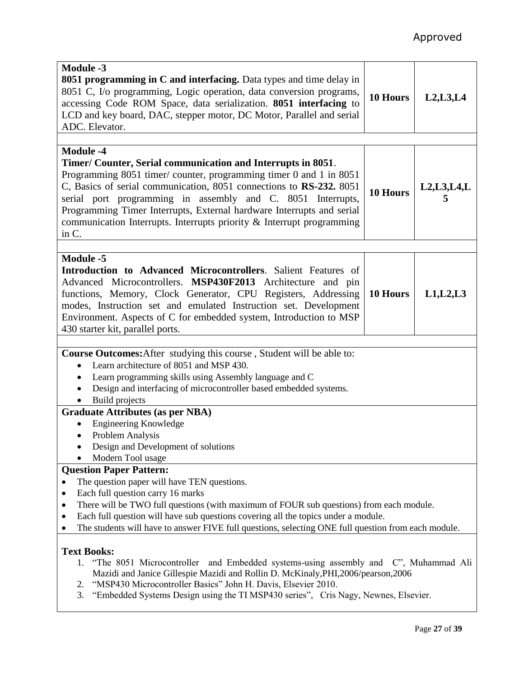| <b>Module -3</b><br><b>8051 programming in C and interfacing.</b> Data types and time delay in<br>8051 C, I/o programming, Logic operation, data conversion programs,<br>accessing Code ROM Space, data serialization. 8051 interfacing to<br>LCD and key board, DAC, stepper motor, DC Motor, Parallel and serial<br>ADC. Elevator.                                                                                                                                                  | 10 Hours        | L2, L3, L4    |  |  |
|---------------------------------------------------------------------------------------------------------------------------------------------------------------------------------------------------------------------------------------------------------------------------------------------------------------------------------------------------------------------------------------------------------------------------------------------------------------------------------------|-----------------|---------------|--|--|
| <b>Module -4</b><br>Timer/ Counter, Serial communication and Interrupts in 8051.<br>Programming 8051 timer/ counter, programming timer 0 and 1 in 8051<br>C, Basics of serial communication, 8051 connections to RS-232. 8051<br>serial port programming in assembly and C. 8051 Interrupts,<br>Programming Timer Interrupts, External hardware Interrupts and serial<br>communication Interrupts. Interrupts priority & Interrupt programming<br>in C.                               | <b>10 Hours</b> | L2, L3, L4, L |  |  |
| Module -5<br><b>Introduction to Advanced Microcontrollers.</b> Salient Features of<br>Advanced Microcontrollers. MSP430F2013 Architecture and pin<br>functions, Memory, Clock Generator, CPU Registers, Addressing<br>modes, Instruction set and emulated Instruction set. Development<br>Environment. Aspects of C for embedded system, Introduction to MSP<br>430 starter kit, parallel ports.                                                                                      | 10 Hours        | L1, L2, L3    |  |  |
| Course Outcomes: After studying this course, Student will be able to:<br>Learn architecture of 8051 and MSP 430.<br>Learn programming skills using Assembly language and C<br>Design and interfacing of microcontroller based embedded systems.                                                                                                                                                                                                                                       |                 |               |  |  |
| Build projects<br><b>Graduate Attributes (as per NBA)</b><br><b>Engineering Knowledge</b><br>Problem Analysis<br>Design and Development of solutions<br>Modern Tool usage<br><b>Question Paper Pattern:</b><br>The question paper will have TEN questions.<br>Each full question carry 16 marks<br>٠<br>There will be TWO full questions (with maximum of FOUR sub questions) from each module.<br>Each full question will have sub questions covering all the topics under a module. |                 |               |  |  |
| The students will have to answer FIVE full questions, selecting ONE full question from each module.<br><b>Text Books:</b><br>1. "The 8051 Microcontroller and Embedded systems-using assembly and C", Muhammad Ali<br>Mazidi and Janice Gillespie Mazidi and Rollin D. McKinaly, PHI, 2006/pearson, 2006<br>"MSP430 Microcontroller Basics" John H. Davis, Elsevier 2010.<br>2.<br>3.<br>"Embedded Systems Design using the TI MSP430 series", Cris Nagy, Newnes, Elsevier.           |                 |               |  |  |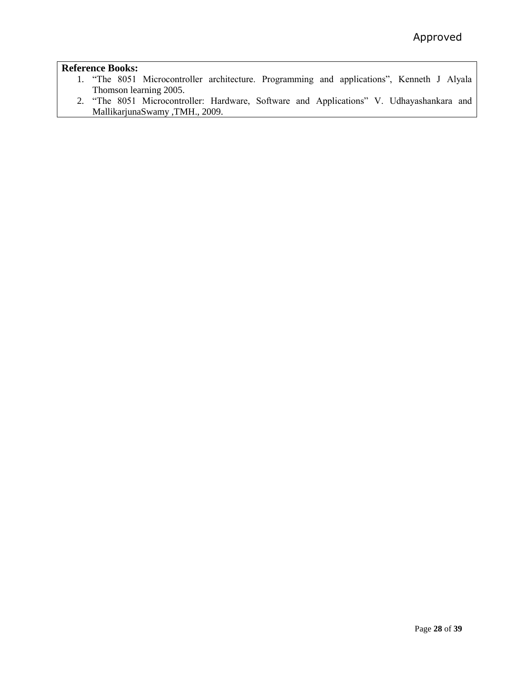- 1. "The 8051 Microcontroller architecture. Programming and applications", Kenneth J Alyala Thomson learning 2005.
- 2. "The 8051 Microcontroller: Hardware, Software and Applications" V. Udhayashankara and MallikarjunaSwamy ,TMH., 2009.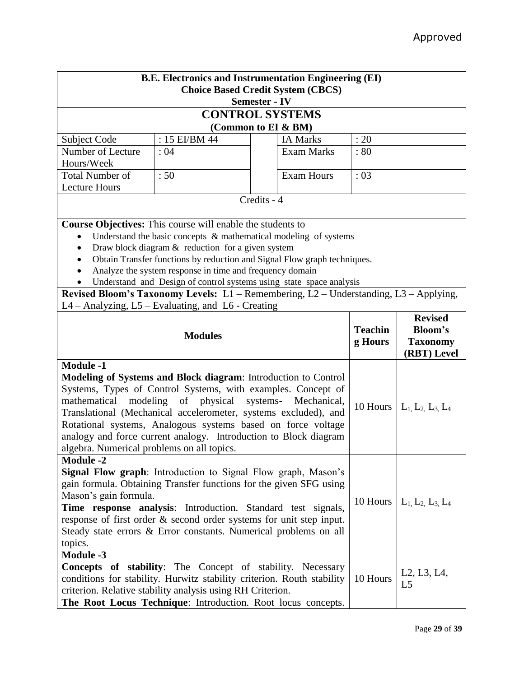| <b>B.E. Electronics and Instrumentation Engineering (EI)</b><br><b>Choice Based Credit System (CBCS)</b><br><b>Semester - IV</b>                                                                                                                                                                                                                                                                                                                                        |                                                                                                                                                                                                                                                                           |             |                   |                |                                                                      |  |  |
|-------------------------------------------------------------------------------------------------------------------------------------------------------------------------------------------------------------------------------------------------------------------------------------------------------------------------------------------------------------------------------------------------------------------------------------------------------------------------|---------------------------------------------------------------------------------------------------------------------------------------------------------------------------------------------------------------------------------------------------------------------------|-------------|-------------------|----------------|----------------------------------------------------------------------|--|--|
| <b>CONTROL SYSTEMS</b>                                                                                                                                                                                                                                                                                                                                                                                                                                                  |                                                                                                                                                                                                                                                                           |             |                   |                |                                                                      |  |  |
| (Common to EI & BM)                                                                                                                                                                                                                                                                                                                                                                                                                                                     |                                                                                                                                                                                                                                                                           |             |                   |                |                                                                      |  |  |
| Subject Code                                                                                                                                                                                                                                                                                                                                                                                                                                                            | : 15 EI/BM 44                                                                                                                                                                                                                                                             |             | <b>IA Marks</b>   | : 20           |                                                                      |  |  |
| Number of Lecture                                                                                                                                                                                                                                                                                                                                                                                                                                                       | : 04                                                                                                                                                                                                                                                                      |             | <b>Exam Marks</b> | :80            |                                                                      |  |  |
| Hours/Week                                                                                                                                                                                                                                                                                                                                                                                                                                                              |                                                                                                                                                                                                                                                                           |             |                   |                |                                                                      |  |  |
| <b>Total Number of</b>                                                                                                                                                                                                                                                                                                                                                                                                                                                  | :50                                                                                                                                                                                                                                                                       |             | <b>Exam Hours</b> | :03            |                                                                      |  |  |
| <b>Lecture Hours</b>                                                                                                                                                                                                                                                                                                                                                                                                                                                    |                                                                                                                                                                                                                                                                           |             |                   |                |                                                                      |  |  |
|                                                                                                                                                                                                                                                                                                                                                                                                                                                                         |                                                                                                                                                                                                                                                                           | Credits - 4 |                   |                |                                                                      |  |  |
|                                                                                                                                                                                                                                                                                                                                                                                                                                                                         |                                                                                                                                                                                                                                                                           |             |                   |                |                                                                      |  |  |
|                                                                                                                                                                                                                                                                                                                                                                                                                                                                         | <b>Course Objectives:</b> This course will enable the students to                                                                                                                                                                                                         |             |                   |                |                                                                      |  |  |
| $\bullet$                                                                                                                                                                                                                                                                                                                                                                                                                                                               | Understand the basic concepts $\&$ mathematical modeling of systems<br>Draw block diagram $&$ reduction for a given system                                                                                                                                                |             |                   |                |                                                                      |  |  |
|                                                                                                                                                                                                                                                                                                                                                                                                                                                                         | Obtain Transfer functions by reduction and Signal Flow graph techniques.                                                                                                                                                                                                  |             |                   |                |                                                                      |  |  |
|                                                                                                                                                                                                                                                                                                                                                                                                                                                                         | Analyze the system response in time and frequency domain                                                                                                                                                                                                                  |             |                   |                |                                                                      |  |  |
|                                                                                                                                                                                                                                                                                                                                                                                                                                                                         | Understand and Design of control systems using state space analysis                                                                                                                                                                                                       |             |                   |                |                                                                      |  |  |
|                                                                                                                                                                                                                                                                                                                                                                                                                                                                         | Revised Bloom's Taxonomy Levels: L1 - Remembering, L2 - Understanding, L3 - Applying,                                                                                                                                                                                     |             |                   |                |                                                                      |  |  |
|                                                                                                                                                                                                                                                                                                                                                                                                                                                                         | $L4 -$ Analyzing, $L5 -$ Evaluating, and $L6 -$ Creating                                                                                                                                                                                                                  |             |                   |                |                                                                      |  |  |
|                                                                                                                                                                                                                                                                                                                                                                                                                                                                         |                                                                                                                                                                                                                                                                           |             |                   |                | <b>Revised</b>                                                       |  |  |
|                                                                                                                                                                                                                                                                                                                                                                                                                                                                         | <b>Modules</b>                                                                                                                                                                                                                                                            |             |                   | <b>Teachin</b> | <b>Bloom's</b>                                                       |  |  |
|                                                                                                                                                                                                                                                                                                                                                                                                                                                                         |                                                                                                                                                                                                                                                                           |             |                   | g Hours        | <b>Taxonomy</b>                                                      |  |  |
|                                                                                                                                                                                                                                                                                                                                                                                                                                                                         |                                                                                                                                                                                                                                                                           |             |                   |                | (RBT) Level                                                          |  |  |
| <b>Module -1</b><br>Modeling of Systems and Block diagram: Introduction to Control<br>Systems, Types of Control Systems, with examples. Concept of<br>modeling of physical<br>mathematical<br>systems- Mechanical,<br>Translational (Mechanical accelerometer, systems excluded), and<br>Rotational systems, Analogous systems based on force voltage<br>analogy and force current analogy. Introduction to Block diagram<br>algebra. Numerical problems on all topics. |                                                                                                                                                                                                                                                                           |             |                   |                | 10 Hours $  L_1, L_2, L_3, L_4$                                      |  |  |
| <b>Module -2</b>                                                                                                                                                                                                                                                                                                                                                                                                                                                        |                                                                                                                                                                                                                                                                           |             |                   |                |                                                                      |  |  |
|                                                                                                                                                                                                                                                                                                                                                                                                                                                                         | Signal Flow graph: Introduction to Signal Flow graph, Mason's                                                                                                                                                                                                             |             |                   |                |                                                                      |  |  |
| Mason's gain formula.                                                                                                                                                                                                                                                                                                                                                                                                                                                   | gain formula. Obtaining Transfer functions for the given SFG using                                                                                                                                                                                                        |             |                   |                |                                                                      |  |  |
|                                                                                                                                                                                                                                                                                                                                                                                                                                                                         | Time response analysis: Introduction. Standard test signals,                                                                                                                                                                                                              |             |                   |                | 10 Hours $  L_1, L_2, L_3, L_4$                                      |  |  |
|                                                                                                                                                                                                                                                                                                                                                                                                                                                                         | response of first order & second order systems for unit step input.                                                                                                                                                                                                       |             |                   |                |                                                                      |  |  |
|                                                                                                                                                                                                                                                                                                                                                                                                                                                                         | Steady state errors & Error constants. Numerical problems on all                                                                                                                                                                                                          |             |                   |                |                                                                      |  |  |
| topics.                                                                                                                                                                                                                                                                                                                                                                                                                                                                 |                                                                                                                                                                                                                                                                           |             |                   |                |                                                                      |  |  |
| <b>Module -3</b>                                                                                                                                                                                                                                                                                                                                                                                                                                                        |                                                                                                                                                                                                                                                                           |             |                   |                |                                                                      |  |  |
|                                                                                                                                                                                                                                                                                                                                                                                                                                                                         | <b>Concepts of stability:</b> The Concept of stability. Necessary<br>conditions for stability. Hurwitz stability criterion. Routh stability<br>criterion. Relative stability analysis using RH Criterion.<br>The Root Locus Technique: Introduction. Root locus concepts. |             |                   | 10 Hours       | L <sub>2</sub> , L <sub>3</sub> , L <sub>4</sub> ,<br>L <sub>5</sub> |  |  |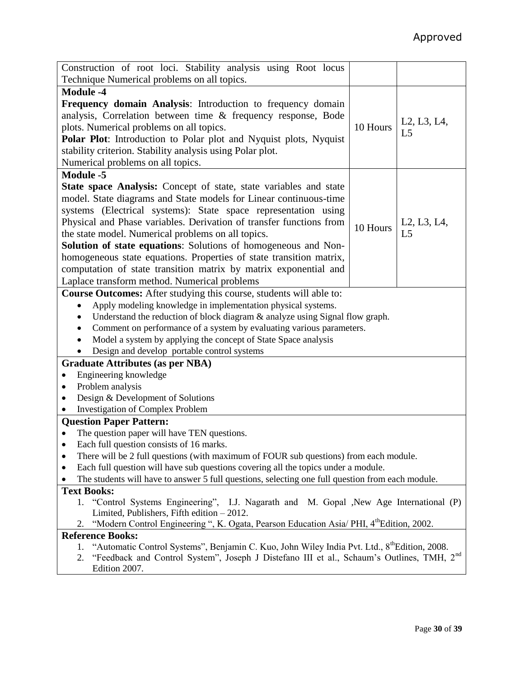| Construction of root loci. Stability analysis using Root locus<br>Technique Numerical problems on all topics.                                                                                                                                                                                                                                                                                                                                                                                                                                                                                      |          |                               |  |  |  |
|----------------------------------------------------------------------------------------------------------------------------------------------------------------------------------------------------------------------------------------------------------------------------------------------------------------------------------------------------------------------------------------------------------------------------------------------------------------------------------------------------------------------------------------------------------------------------------------------------|----------|-------------------------------|--|--|--|
| <b>Module -4</b>                                                                                                                                                                                                                                                                                                                                                                                                                                                                                                                                                                                   |          |                               |  |  |  |
| Frequency domain Analysis: Introduction to frequency domain                                                                                                                                                                                                                                                                                                                                                                                                                                                                                                                                        |          |                               |  |  |  |
| analysis, Correlation between time & frequency response, Bode<br>plots. Numerical problems on all topics.<br>Polar Plot: Introduction to Polar plot and Nyquist plots, Nyquist<br>stability criterion. Stability analysis using Polar plot.<br>Numerical problems on all topics.                                                                                                                                                                                                                                                                                                                   | 10 Hours | L2, L3, L4,<br>L <sub>5</sub> |  |  |  |
| <b>Module -5</b>                                                                                                                                                                                                                                                                                                                                                                                                                                                                                                                                                                                   |          |                               |  |  |  |
| State space Analysis: Concept of state, state variables and state<br>model. State diagrams and State models for Linear continuous-time<br>systems (Electrical systems): State space representation using<br>Physical and Phase variables. Derivation of transfer functions from<br>the state model. Numerical problems on all topics.<br>Solution of state equations: Solutions of homogeneous and Non-<br>homogeneous state equations. Properties of state transition matrix,<br>computation of state transition matrix by matrix exponential and<br>Laplace transform method. Numerical problems | 10 Hours | L2, L3, L4,<br>L <sub>5</sub> |  |  |  |
| Course Outcomes: After studying this course, students will able to:                                                                                                                                                                                                                                                                                                                                                                                                                                                                                                                                |          |                               |  |  |  |
| Apply modeling knowledge in implementation physical systems.<br>$\bullet$<br>Understand the reduction of block diagram & analyze using Signal flow graph.<br>Comment on performance of a system by evaluating various parameters.<br>٠<br>Model a system by applying the concept of State Space analysis<br>Design and develop portable control systems                                                                                                                                                                                                                                            |          |                               |  |  |  |
| <b>Graduate Attributes (as per NBA)</b>                                                                                                                                                                                                                                                                                                                                                                                                                                                                                                                                                            |          |                               |  |  |  |
| Engineering knowledge                                                                                                                                                                                                                                                                                                                                                                                                                                                                                                                                                                              |          |                               |  |  |  |
| Problem analysis                                                                                                                                                                                                                                                                                                                                                                                                                                                                                                                                                                                   |          |                               |  |  |  |
| Design & Development of Solutions                                                                                                                                                                                                                                                                                                                                                                                                                                                                                                                                                                  |          |                               |  |  |  |
| <b>Investigation of Complex Problem</b>                                                                                                                                                                                                                                                                                                                                                                                                                                                                                                                                                            |          |                               |  |  |  |
| <b>Question Paper Pattern:</b>                                                                                                                                                                                                                                                                                                                                                                                                                                                                                                                                                                     |          |                               |  |  |  |
| The question paper will have TEN questions.                                                                                                                                                                                                                                                                                                                                                                                                                                                                                                                                                        |          |                               |  |  |  |
| Each full question consists of 16 marks.<br>٠                                                                                                                                                                                                                                                                                                                                                                                                                                                                                                                                                      |          |                               |  |  |  |
| There will be 2 full questions (with maximum of FOUR sub questions) from each module.<br>٠                                                                                                                                                                                                                                                                                                                                                                                                                                                                                                         |          |                               |  |  |  |
| Each full question will have sub questions covering all the topics under a module.<br>٠                                                                                                                                                                                                                                                                                                                                                                                                                                                                                                            |          |                               |  |  |  |
| The students will have to answer 5 full questions, selecting one full question from each module.                                                                                                                                                                                                                                                                                                                                                                                                                                                                                                   |          |                               |  |  |  |
| <b>Text Books:</b>                                                                                                                                                                                                                                                                                                                                                                                                                                                                                                                                                                                 |          |                               |  |  |  |
| 1. "Control Systems Engineering", I.J. Nagarath and M. Gopal , New Age International (P)<br>Limited, Publishers, Fifth edition $-2012$ .                                                                                                                                                                                                                                                                                                                                                                                                                                                           |          |                               |  |  |  |
| "Modern Control Engineering ", K. Ogata, Pearson Education Asia/ PHI, 4 <sup>th</sup> Edition, 2002.<br>2.                                                                                                                                                                                                                                                                                                                                                                                                                                                                                         |          |                               |  |  |  |
| <b>Reference Books:</b>                                                                                                                                                                                                                                                                                                                                                                                                                                                                                                                                                                            |          |                               |  |  |  |
| "Automatic Control Systems", Benjamin C. Kuo, John Wiley India Pvt. Ltd., 8 <sup>th</sup> Edition, 2008.<br>1.<br>"Feedback and Control System", Joseph J Distefano III et al., Schaum's Outlines, TMH, 2 <sup>nd</sup>                                                                                                                                                                                                                                                                                                                                                                            |          |                               |  |  |  |
| 2.<br>Edition 2007.                                                                                                                                                                                                                                                                                                                                                                                                                                                                                                                                                                                |          |                               |  |  |  |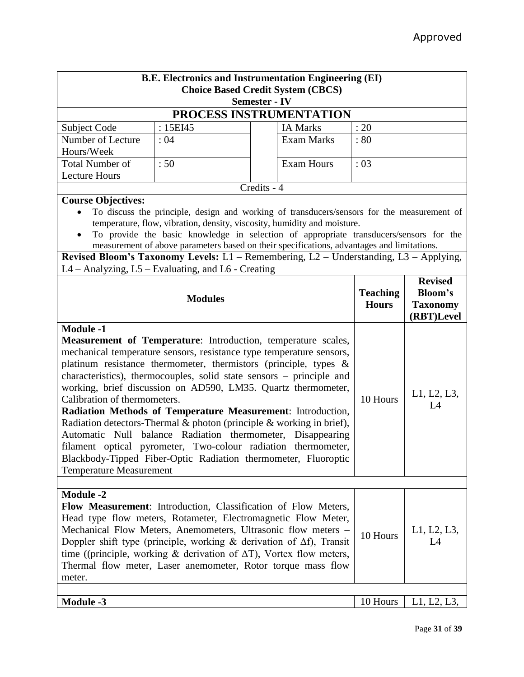| <b>B.E. Electronics and Instrumentation Engineering (EI)</b>                                                                                                                                                                                                                                                                                                                                                                                                                                                                                                                                                                                                                                                                                                                               |                                                                                                                                                                                                                                                                                                                                                                                                                                                                                      |             |                   |                                 |                                                            |  |
|--------------------------------------------------------------------------------------------------------------------------------------------------------------------------------------------------------------------------------------------------------------------------------------------------------------------------------------------------------------------------------------------------------------------------------------------------------------------------------------------------------------------------------------------------------------------------------------------------------------------------------------------------------------------------------------------------------------------------------------------------------------------------------------------|--------------------------------------------------------------------------------------------------------------------------------------------------------------------------------------------------------------------------------------------------------------------------------------------------------------------------------------------------------------------------------------------------------------------------------------------------------------------------------------|-------------|-------------------|---------------------------------|------------------------------------------------------------|--|
| <b>Choice Based Credit System (CBCS)</b>                                                                                                                                                                                                                                                                                                                                                                                                                                                                                                                                                                                                                                                                                                                                                   |                                                                                                                                                                                                                                                                                                                                                                                                                                                                                      |             |                   |                                 |                                                            |  |
| <b>Semester - IV</b>                                                                                                                                                                                                                                                                                                                                                                                                                                                                                                                                                                                                                                                                                                                                                                       |                                                                                                                                                                                                                                                                                                                                                                                                                                                                                      |             |                   |                                 |                                                            |  |
|                                                                                                                                                                                                                                                                                                                                                                                                                                                                                                                                                                                                                                                                                                                                                                                            | PROCESS INSTRUMENTATION                                                                                                                                                                                                                                                                                                                                                                                                                                                              |             |                   |                                 |                                                            |  |
| Subject Code                                                                                                                                                                                                                                                                                                                                                                                                                                                                                                                                                                                                                                                                                                                                                                               | : 15EI45                                                                                                                                                                                                                                                                                                                                                                                                                                                                             |             | <b>IA Marks</b>   | : 20                            |                                                            |  |
| Number of Lecture                                                                                                                                                                                                                                                                                                                                                                                                                                                                                                                                                                                                                                                                                                                                                                          | :04                                                                                                                                                                                                                                                                                                                                                                                                                                                                                  |             | <b>Exam Marks</b> | : 80                            |                                                            |  |
| Hours/Week                                                                                                                                                                                                                                                                                                                                                                                                                                                                                                                                                                                                                                                                                                                                                                                 |                                                                                                                                                                                                                                                                                                                                                                                                                                                                                      |             |                   |                                 |                                                            |  |
| <b>Total Number of</b>                                                                                                                                                                                                                                                                                                                                                                                                                                                                                                                                                                                                                                                                                                                                                                     | :50                                                                                                                                                                                                                                                                                                                                                                                                                                                                                  |             | <b>Exam Hours</b> | : 03                            |                                                            |  |
| <b>Lecture Hours</b>                                                                                                                                                                                                                                                                                                                                                                                                                                                                                                                                                                                                                                                                                                                                                                       |                                                                                                                                                                                                                                                                                                                                                                                                                                                                                      |             |                   |                                 |                                                            |  |
|                                                                                                                                                                                                                                                                                                                                                                                                                                                                                                                                                                                                                                                                                                                                                                                            |                                                                                                                                                                                                                                                                                                                                                                                                                                                                                      | Credits - 4 |                   |                                 |                                                            |  |
|                                                                                                                                                                                                                                                                                                                                                                                                                                                                                                                                                                                                                                                                                                                                                                                            | <b>Course Objectives:</b><br>To discuss the principle, design and working of transducers/sensors for the measurement of<br>temperature, flow, vibration, density, viscosity, humidity and moisture.<br>To provide the basic knowledge in selection of appropriate transducers/sensors for the<br>measurement of above parameters based on their specifications, advantages and limitations.<br>Revised Bloom's Taxonomy Levels: L1 - Remembering, L2 - Understanding, L3 - Applying, |             |                   |                                 |                                                            |  |
|                                                                                                                                                                                                                                                                                                                                                                                                                                                                                                                                                                                                                                                                                                                                                                                            | L4 - Analyzing, L5 - Evaluating, and L6 - Creating                                                                                                                                                                                                                                                                                                                                                                                                                                   |             |                   |                                 |                                                            |  |
| <b>Modules</b>                                                                                                                                                                                                                                                                                                                                                                                                                                                                                                                                                                                                                                                                                                                                                                             |                                                                                                                                                                                                                                                                                                                                                                                                                                                                                      |             |                   | <b>Teaching</b><br><b>Hours</b> | <b>Revised</b><br>Bloom's<br><b>Taxonomy</b><br>(RBT)Level |  |
| <b>Module -1</b><br><b>Measurement of Temperature:</b> Introduction, temperature scales,<br>mechanical temperature sensors, resistance type temperature sensors,<br>platinum resistance thermometer, thermistors (principle, types $\&$<br>characteristics), thermocouples, solid state sensors – principle and<br>working, brief discussion on AD590, LM35. Quartz thermometer,<br>Calibration of thermometers.<br>Radiation Methods of Temperature Measurement: Introduction,<br>Radiation detectors-Thermal & photon (principle & working in brief),<br>Automatic Null balance Radiation thermometer, Disappearing<br>filament optical pyrometer, Two-colour radiation thermometer,<br>Blackbody-Tipped Fiber-Optic Radiation thermometer, Fluoroptic<br><b>Temperature Measurement</b> |                                                                                                                                                                                                                                                                                                                                                                                                                                                                                      |             | 10 Hours          | L1, L2, L3,<br>L4               |                                                            |  |
|                                                                                                                                                                                                                                                                                                                                                                                                                                                                                                                                                                                                                                                                                                                                                                                            |                                                                                                                                                                                                                                                                                                                                                                                                                                                                                      |             |                   |                                 |                                                            |  |
| <b>Module -2</b><br>Flow Measurement: Introduction, Classification of Flow Meters,<br>Head type flow meters, Rotameter, Electromagnetic Flow Meter,<br>Mechanical Flow Meters, Anemometers, Ultrasonic flow meters -<br>Doppler shift type (principle, working $\&$ derivation of $\Delta f$ ), Transit<br>time ((principle, working $\&$ derivation of $\Delta T$ ), Vortex flow meters,<br>Thermal flow meter, Laser anemometer, Rotor torque mass flow<br>meter.                                                                                                                                                                                                                                                                                                                        |                                                                                                                                                                                                                                                                                                                                                                                                                                                                                      |             | 10 Hours          | L1, L2, L3,<br>L4               |                                                            |  |
|                                                                                                                                                                                                                                                                                                                                                                                                                                                                                                                                                                                                                                                                                                                                                                                            |                                                                                                                                                                                                                                                                                                                                                                                                                                                                                      |             |                   |                                 |                                                            |  |
| <b>Module -3</b>                                                                                                                                                                                                                                                                                                                                                                                                                                                                                                                                                                                                                                                                                                                                                                           |                                                                                                                                                                                                                                                                                                                                                                                                                                                                                      |             |                   | 10 Hours                        | L1, L2, L3,                                                |  |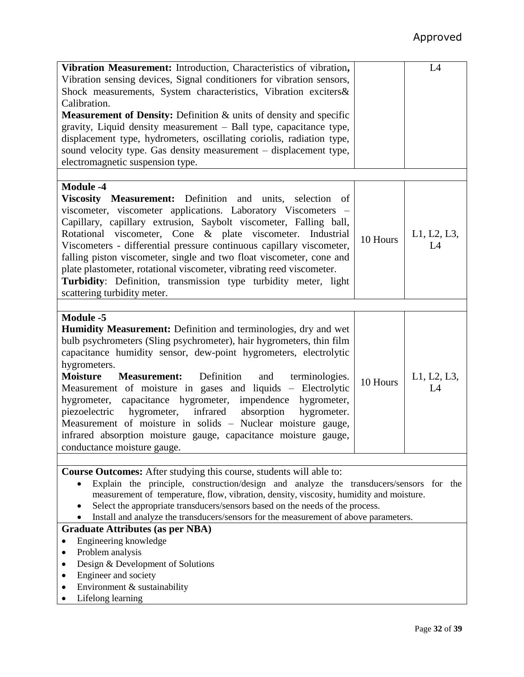| Vibration Measurement: Introduction, Characteristics of vibration,                                                                                                                                                                                                                                                                                                                                                                                                                                                                                                                                                                                                                                   |          | L4                |  |  |
|------------------------------------------------------------------------------------------------------------------------------------------------------------------------------------------------------------------------------------------------------------------------------------------------------------------------------------------------------------------------------------------------------------------------------------------------------------------------------------------------------------------------------------------------------------------------------------------------------------------------------------------------------------------------------------------------------|----------|-------------------|--|--|
| Vibration sensing devices, Signal conditioners for vibration sensors,                                                                                                                                                                                                                                                                                                                                                                                                                                                                                                                                                                                                                                |          |                   |  |  |
| Shock measurements, System characteristics, Vibration exciters&                                                                                                                                                                                                                                                                                                                                                                                                                                                                                                                                                                                                                                      |          |                   |  |  |
| Calibration.                                                                                                                                                                                                                                                                                                                                                                                                                                                                                                                                                                                                                                                                                         |          |                   |  |  |
| <b>Measurement of Density:</b> Definition & units of density and specific                                                                                                                                                                                                                                                                                                                                                                                                                                                                                                                                                                                                                            |          |                   |  |  |
| gravity, Liquid density measurement – Ball type, capacitance type,                                                                                                                                                                                                                                                                                                                                                                                                                                                                                                                                                                                                                                   |          |                   |  |  |
| displacement type, hydrometers, oscillating coriolis, radiation type,                                                                                                                                                                                                                                                                                                                                                                                                                                                                                                                                                                                                                                |          |                   |  |  |
| sound velocity type. Gas density measurement - displacement type,                                                                                                                                                                                                                                                                                                                                                                                                                                                                                                                                                                                                                                    |          |                   |  |  |
| electromagnetic suspension type.                                                                                                                                                                                                                                                                                                                                                                                                                                                                                                                                                                                                                                                                     |          |                   |  |  |
|                                                                                                                                                                                                                                                                                                                                                                                                                                                                                                                                                                                                                                                                                                      |          |                   |  |  |
| <b>Module -4</b><br>Viscosity Measurement: Definition and units, selection<br>- of<br>viscometer, viscometer applications. Laboratory Viscometers -<br>Capillary, capillary extrusion, Saybolt viscometer, Falling ball,<br>Rotational viscometer, Cone & plate viscometer. Industrial<br>Viscometers - differential pressure continuous capillary viscometer,<br>falling piston viscometer, single and two float viscometer, cone and<br>plate plastometer, rotational viscometer, vibrating reed viscometer.<br>Turbidity: Definition, transmission type turbidity meter, light<br>scattering turbidity meter.                                                                                     | 10 Hours | L1, L2, L3,<br>L4 |  |  |
|                                                                                                                                                                                                                                                                                                                                                                                                                                                                                                                                                                                                                                                                                                      |          |                   |  |  |
| <b>Module -5</b><br>Humidity Measurement: Definition and terminologies, dry and wet<br>bulb psychrometers (Sling psychrometer), hair hygrometers, thin film<br>capacitance humidity sensor, dew-point hygrometers, electrolytic<br>hygrometers.<br><b>Moisture</b><br>Definition<br><b>Measurement:</b><br>and<br>terminologies.<br>Measurement of moisture in gases and liquids - Electrolytic<br>hygrometer, capacitance hygrometer, impendence<br>hygrometer,<br>hygrometer, infrared absorption<br>hygrometer.<br>piezoelectric<br>Measurement of moisture in solids – Nuclear moisture gauge,<br>infrared absorption moisture gauge, capacitance moisture gauge,<br>conductance moisture gauge. | 10 Hours | L1, L2, L3,<br>L4 |  |  |
|                                                                                                                                                                                                                                                                                                                                                                                                                                                                                                                                                                                                                                                                                                      |          |                   |  |  |
| <b>Course Outcomes:</b> After studying this course, students will able to:<br>Explain the principle, construction/design and analyze the transducers/sensors for the<br>$\bullet$<br>measurement of temperature, flow, vibration, density, viscosity, humidity and moisture.<br>Select the appropriate transducers/sensors based on the needs of the process.<br>Install and analyze the transducers/sensors for the measurement of above parameters.                                                                                                                                                                                                                                                |          |                   |  |  |
| <b>Graduate Attributes (as per NBA)</b>                                                                                                                                                                                                                                                                                                                                                                                                                                                                                                                                                                                                                                                              |          |                   |  |  |
| Engineering knowledge                                                                                                                                                                                                                                                                                                                                                                                                                                                                                                                                                                                                                                                                                |          |                   |  |  |
| Problem analysis                                                                                                                                                                                                                                                                                                                                                                                                                                                                                                                                                                                                                                                                                     |          |                   |  |  |
| Design & Development of Solutions<br>$\bullet$                                                                                                                                                                                                                                                                                                                                                                                                                                                                                                                                                                                                                                                       |          |                   |  |  |
| Engineer and society                                                                                                                                                                                                                                                                                                                                                                                                                                                                                                                                                                                                                                                                                 |          |                   |  |  |
| Environment & sustainability                                                                                                                                                                                                                                                                                                                                                                                                                                                                                                                                                                                                                                                                         |          |                   |  |  |

 $\bullet$  Lifelong learning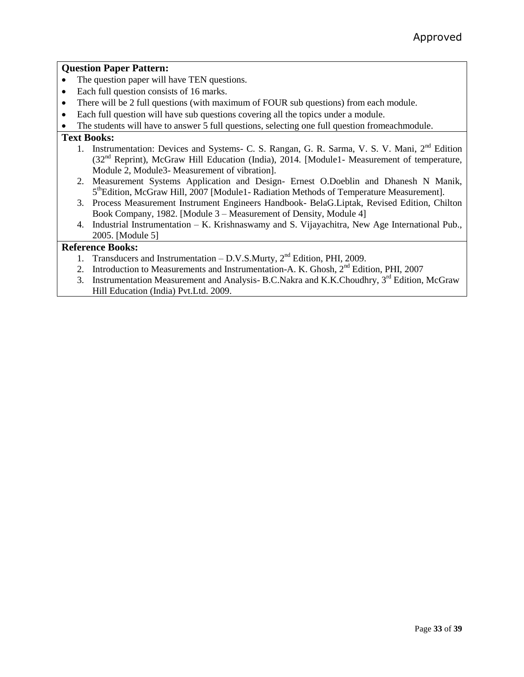## **Question Paper Pattern:**

- The question paper will have TEN questions.
- Each full question consists of 16 marks.
- There will be 2 full questions (with maximum of FOUR sub questions) from each module.
- Each full question will have sub questions covering all the topics under a module.

The students will have to answer 5 full questions, selecting one full question fromeachmodule.

### **Text Books:**

- 1. Instrumentation: Devices and Systems- C. S. Rangan, G. R. Sarma, V. S. V. Mani, 2<sup>nd</sup> Edition  $(32<sup>nd</sup>$  Reprint), McGraw Hill Education (India), 2014. [Module1- Measurement of temperature, Module 2, Module3- Measurement of vibration].
- 2. Measurement Systems Application and Design- Ernest O.Doeblin and Dhanesh N Manik, 5<sup>th</sup>Edition, McGraw Hill, 2007 [Module1- Radiation Methods of Temperature Measurement].
- 3. Process Measurement Instrument Engineers Handbook- BelaG.Liptak, Revised Edition, Chilton Book Company, 1982. [Module 3 – Measurement of Density, Module 4]
- 4. Industrial Instrumentation K. Krishnaswamy and S. Vijayachitra, New Age International Pub., 2005. [Module 5]

- 1. Transducers and Instrumentation D.V.S.Murty,  $2<sup>nd</sup>$  Edition, PHI, 2009.
- 2. Introduction to Measurements and Instrumentation-A. K. Ghosh, 2<sup>nd</sup> Edition, PHI, 2007
- 3. Instrumentation Measurement and Analysis- B.C.Nakra and K.K.Choudhry, 3<sup>rd</sup> Edition, McGraw Hill Education (India) Pvt.Ltd. 2009.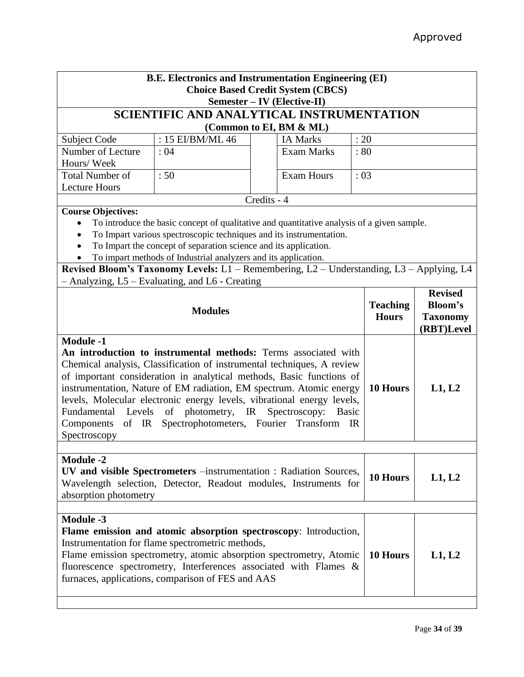| <b>B.E. Electronics and Instrumentation Engineering (EI)</b>                                                                                                                                                                                                                                                                                                                                                                                                                                                                                         |                                                                                                                                                                                                                                                                                                                                                                                                     |             |                                            |                                 |                                                                   |        |  |
|------------------------------------------------------------------------------------------------------------------------------------------------------------------------------------------------------------------------------------------------------------------------------------------------------------------------------------------------------------------------------------------------------------------------------------------------------------------------------------------------------------------------------------------------------|-----------------------------------------------------------------------------------------------------------------------------------------------------------------------------------------------------------------------------------------------------------------------------------------------------------------------------------------------------------------------------------------------------|-------------|--------------------------------------------|---------------------------------|-------------------------------------------------------------------|--------|--|
| <b>Choice Based Credit System (CBCS)</b>                                                                                                                                                                                                                                                                                                                                                                                                                                                                                                             |                                                                                                                                                                                                                                                                                                                                                                                                     |             |                                            |                                 |                                                                   |        |  |
| Semester - IV (Elective-II)<br><b>SCIENTIFIC AND ANALYTICAL INSTRUMENTATION</b>                                                                                                                                                                                                                                                                                                                                                                                                                                                                      |                                                                                                                                                                                                                                                                                                                                                                                                     |             |                                            |                                 |                                                                   |        |  |
|                                                                                                                                                                                                                                                                                                                                                                                                                                                                                                                                                      |                                                                                                                                                                                                                                                                                                                                                                                                     |             |                                            |                                 |                                                                   |        |  |
| Subject Code                                                                                                                                                                                                                                                                                                                                                                                                                                                                                                                                         | : 15 EI/BM/ML 46                                                                                                                                                                                                                                                                                                                                                                                    |             | (Common to EI, BM & ML)<br><b>IA Marks</b> | : 20                            |                                                                   |        |  |
| Number of Lecture                                                                                                                                                                                                                                                                                                                                                                                                                                                                                                                                    | :04                                                                                                                                                                                                                                                                                                                                                                                                 |             | <b>Exam Marks</b>                          | : 80                            |                                                                   |        |  |
| Hours/Week                                                                                                                                                                                                                                                                                                                                                                                                                                                                                                                                           |                                                                                                                                                                                                                                                                                                                                                                                                     |             |                                            |                                 |                                                                   |        |  |
| <b>Total Number of</b>                                                                                                                                                                                                                                                                                                                                                                                                                                                                                                                               | :50                                                                                                                                                                                                                                                                                                                                                                                                 |             | <b>Exam Hours</b>                          | : 03                            |                                                                   |        |  |
| <b>Lecture Hours</b>                                                                                                                                                                                                                                                                                                                                                                                                                                                                                                                                 |                                                                                                                                                                                                                                                                                                                                                                                                     |             |                                            |                                 |                                                                   |        |  |
|                                                                                                                                                                                                                                                                                                                                                                                                                                                                                                                                                      |                                                                                                                                                                                                                                                                                                                                                                                                     | Credits - 4 |                                            |                                 |                                                                   |        |  |
| <b>Course Objectives:</b><br>$\bullet$                                                                                                                                                                                                                                                                                                                                                                                                                                                                                                               | To introduce the basic concept of qualitative and quantitative analysis of a given sample.<br>To Impart various spectroscopic techniques and its instrumentation.<br>To Impart the concept of separation science and its application.<br>To impart methods of Industrial analyzers and its application.<br>Revised Bloom's Taxonomy Levels: L1 - Remembering, L2 - Understanding, L3 - Applying, L4 |             |                                            |                                 |                                                                   |        |  |
|                                                                                                                                                                                                                                                                                                                                                                                                                                                                                                                                                      | - Analyzing, L5 - Evaluating, and L6 - Creating                                                                                                                                                                                                                                                                                                                                                     |             |                                            |                                 |                                                                   |        |  |
| <b>Modules</b>                                                                                                                                                                                                                                                                                                                                                                                                                                                                                                                                       |                                                                                                                                                                                                                                                                                                                                                                                                     |             |                                            | <b>Teaching</b><br><b>Hours</b> | <b>Revised</b><br><b>Bloom's</b><br><b>Taxonomy</b><br>(RBT)Level |        |  |
| <b>Module -1</b><br>An introduction to instrumental methods: Terms associated with<br>Chemical analysis, Classification of instrumental techniques, A review<br>of important consideration in analytical methods, Basic functions of<br>instrumentation, Nature of EM radiation, EM spectrum. Atomic energy<br>levels, Molecular electronic energy levels, vibrational energy levels,<br>Fundamental<br>Levels of photometry, IR<br>Spectroscopy:<br><b>Basic</b><br>Spectrophotometers, Fourier Transform IR<br>Components<br>of IR<br>Spectroscopy |                                                                                                                                                                                                                                                                                                                                                                                                     |             |                                            |                                 | 10 Hours                                                          | L1, L2 |  |
| <b>Module -2</b><br>UV and visible Spectrometers -instrumentation : Radiation Sources,<br>Wavelength selection, Detector, Readout modules, Instruments for<br>absorption photometry                                                                                                                                                                                                                                                                                                                                                                  |                                                                                                                                                                                                                                                                                                                                                                                                     |             |                                            | 10 Hours                        | L1, L2                                                            |        |  |
| <b>Module -3</b><br>Flame emission and atomic absorption spectroscopy: Introduction,<br>Instrumentation for flame spectrometric methods,<br>Flame emission spectrometry, atomic absorption spectrometry, Atomic<br>fluorescence spectrometry, Interferences associated with Flames &<br>furnaces, applications, comparison of FES and AAS                                                                                                                                                                                                            |                                                                                                                                                                                                                                                                                                                                                                                                     |             |                                            |                                 | 10 Hours                                                          | L1, L2 |  |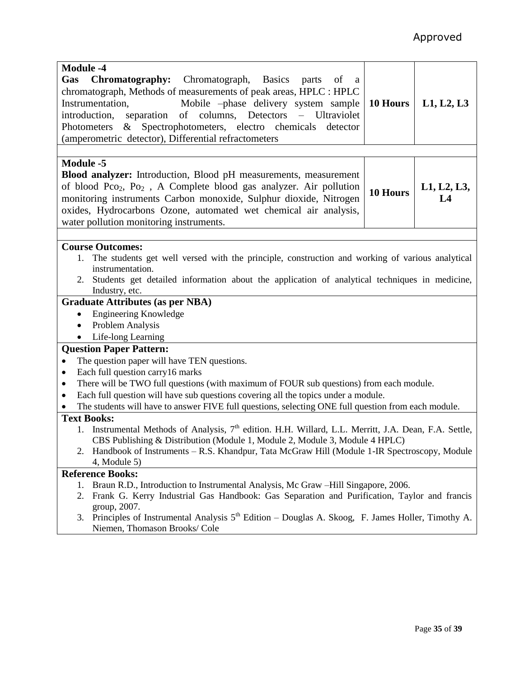| <b>Module -4</b><br>Gas Chromatography:<br>Chromatograph, Basics parts<br>of<br><sub>a</sub><br>chromatograph, Methods of measurements of peak areas, HPLC : HPLC<br>Mobile -phase delivery system sample<br>Instrumentation,<br>separation of columns, Detectors – Ultraviolet<br>introduction,<br>& Spectrophotometers, electro chemicals<br>Photometers<br>detector<br>(amperometric detector), Differential refractometers | 10 Hours | L1, L2, L3     |  |  |  |
|--------------------------------------------------------------------------------------------------------------------------------------------------------------------------------------------------------------------------------------------------------------------------------------------------------------------------------------------------------------------------------------------------------------------------------|----------|----------------|--|--|--|
|                                                                                                                                                                                                                                                                                                                                                                                                                                |          |                |  |  |  |
| <b>Module -5</b>                                                                                                                                                                                                                                                                                                                                                                                                               |          |                |  |  |  |
| <b>Blood analyzer:</b> Introduction, Blood pH measurements, measurement                                                                                                                                                                                                                                                                                                                                                        |          |                |  |  |  |
| of blood Pco <sub>2</sub> , Po <sub>2</sub> , A Complete blood gas analyzer. Air pollution                                                                                                                                                                                                                                                                                                                                     | 10 Hours | L1, L2, L3,    |  |  |  |
| monitoring instruments Carbon monoxide, Sulphur dioxide, Nitrogen                                                                                                                                                                                                                                                                                                                                                              |          | L <sub>4</sub> |  |  |  |
| oxides, Hydrocarbons Ozone, automated wet chemical air analysis,                                                                                                                                                                                                                                                                                                                                                               |          |                |  |  |  |
| water pollution monitoring instruments.                                                                                                                                                                                                                                                                                                                                                                                        |          |                |  |  |  |
|                                                                                                                                                                                                                                                                                                                                                                                                                                |          |                |  |  |  |
| <b>Course Outcomes:</b>                                                                                                                                                                                                                                                                                                                                                                                                        |          |                |  |  |  |
| The students get well versed with the principle, construction and working of various analytical<br>1.                                                                                                                                                                                                                                                                                                                          |          |                |  |  |  |
| instrumentation.                                                                                                                                                                                                                                                                                                                                                                                                               |          |                |  |  |  |
| 2. Students get detailed information about the application of analytical techniques in medicine,                                                                                                                                                                                                                                                                                                                               |          |                |  |  |  |
| Industry, etc.                                                                                                                                                                                                                                                                                                                                                                                                                 |          |                |  |  |  |
| <b>Graduate Attributes (as per NBA)</b>                                                                                                                                                                                                                                                                                                                                                                                        |          |                |  |  |  |
| <b>Engineering Knowledge</b><br>$\bullet$                                                                                                                                                                                                                                                                                                                                                                                      |          |                |  |  |  |
| Problem Analysis<br>$\bullet$                                                                                                                                                                                                                                                                                                                                                                                                  |          |                |  |  |  |
| Life-long Learning<br>$\bullet$                                                                                                                                                                                                                                                                                                                                                                                                |          |                |  |  |  |
| <b>Question Paper Pattern:</b>                                                                                                                                                                                                                                                                                                                                                                                                 |          |                |  |  |  |
| The question paper will have TEN questions.                                                                                                                                                                                                                                                                                                                                                                                    |          |                |  |  |  |
| Each full question carry16 marks<br>$\bullet$                                                                                                                                                                                                                                                                                                                                                                                  |          |                |  |  |  |
| There will be TWO full questions (with maximum of FOUR sub questions) from each module.<br>$\bullet$                                                                                                                                                                                                                                                                                                                           |          |                |  |  |  |
| Each full question will have sub questions covering all the topics under a module.<br>$\bullet$                                                                                                                                                                                                                                                                                                                                |          |                |  |  |  |
| The students will have to answer FIVE full questions, selecting ONE full question from each module.                                                                                                                                                                                                                                                                                                                            |          |                |  |  |  |
| <b>Text Books:</b>                                                                                                                                                                                                                                                                                                                                                                                                             |          |                |  |  |  |
| 1. Instrumental Methods of Analysis, 7 <sup>th</sup> edition. H.H. Willard, L.L. Merritt, J.A. Dean, F.A. Settle,                                                                                                                                                                                                                                                                                                              |          |                |  |  |  |
| CBS Publishing & Distribution (Module 1, Module 2, Module 3, Module 4 HPLC)                                                                                                                                                                                                                                                                                                                                                    |          |                |  |  |  |
| Handbook of Instruments – R.S. Khandpur, Tata McGraw Hill (Module 1-IR Spectroscopy, Module<br>2.                                                                                                                                                                                                                                                                                                                              |          |                |  |  |  |
| $4$ , Module 5)                                                                                                                                                                                                                                                                                                                                                                                                                |          |                |  |  |  |
| <b>Reference Books:</b>                                                                                                                                                                                                                                                                                                                                                                                                        |          |                |  |  |  |
| Braun R.D., Introduction to Instrumental Analysis, Mc Graw -Hill Singapore, 2006.<br>1.                                                                                                                                                                                                                                                                                                                                        |          |                |  |  |  |
| Frank G. Kerry Industrial Gas Handbook: Gas Separation and Purification, Taylor and francis<br>2.                                                                                                                                                                                                                                                                                                                              |          |                |  |  |  |
| group, 2007.                                                                                                                                                                                                                                                                                                                                                                                                                   |          |                |  |  |  |
| 3. Principles of Instrumental Analysis 5 <sup>th</sup> Edition – Douglas A. Skoog, F. James Holler, Timothy A.                                                                                                                                                                                                                                                                                                                 |          |                |  |  |  |
| Niemen, Thomason Brooks/ Cole                                                                                                                                                                                                                                                                                                                                                                                                  |          |                |  |  |  |
|                                                                                                                                                                                                                                                                                                                                                                                                                                |          |                |  |  |  |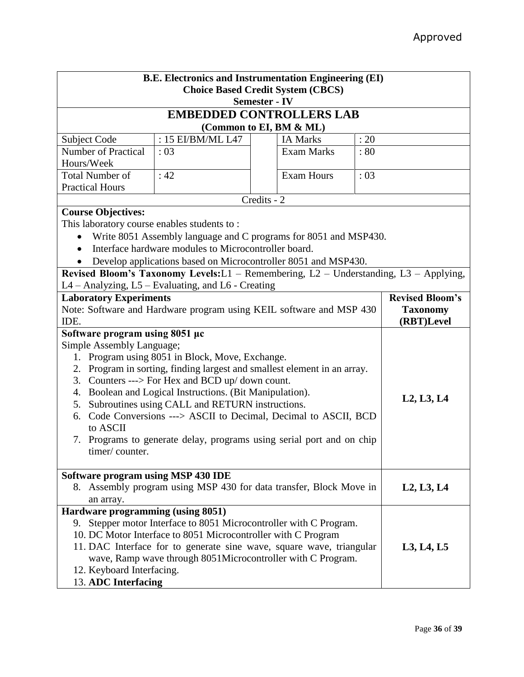| <b>B.E. Electronics and Instrumentation Engineering (EI)</b>                                         |                                                                                      |             |                         |            |                        |
|------------------------------------------------------------------------------------------------------|--------------------------------------------------------------------------------------|-------------|-------------------------|------------|------------------------|
| <b>Choice Based Credit System (CBCS)</b>                                                             |                                                                                      |             |                         |            |                        |
| <b>Semester - IV</b>                                                                                 |                                                                                      |             |                         |            |                        |
| <b>EMBEDDED CONTROLLERS LAB</b>                                                                      |                                                                                      |             |                         |            |                        |
|                                                                                                      |                                                                                      |             | (Common to EI, BM & ML) |            |                        |
| Subject Code                                                                                         | : 15 EI/BM/ML L47                                                                    |             | <b>IA Marks</b>         | : 20       |                        |
| <b>Number of Practical</b>                                                                           | :03                                                                                  |             | <b>Exam Marks</b>       | : 80       |                        |
| Hours/Week                                                                                           |                                                                                      |             |                         |            |                        |
| <b>Total Number of</b>                                                                               | :42                                                                                  |             | <b>Exam Hours</b>       | : 03       |                        |
| <b>Practical Hours</b>                                                                               |                                                                                      |             |                         |            |                        |
|                                                                                                      |                                                                                      | Credits - 2 |                         |            |                        |
| <b>Course Objectives:</b>                                                                            |                                                                                      |             |                         |            |                        |
| This laboratory course enables students to:                                                          |                                                                                      |             |                         |            |                        |
|                                                                                                      | Write 8051 Assembly language and C programs for 8051 and MSP430.                     |             |                         |            |                        |
|                                                                                                      | Interface hardware modules to Microcontroller board.                                 |             |                         |            |                        |
|                                                                                                      | Develop applications based on Microcontroller 8051 and MSP430.                       |             |                         |            |                        |
|                                                                                                      | Revised Bloom's Taxonomy Levels:L1 - Remembering, L2 - Understanding, L3 - Applying, |             |                         |            |                        |
|                                                                                                      | L4 - Analyzing, L5 - Evaluating, and L6 - Creating                                   |             |                         |            | <b>Revised Bloom's</b> |
| <b>Laboratory Experiments</b><br>Note: Software and Hardware program using KEIL software and MSP 430 |                                                                                      |             |                         |            | <b>Taxonomy</b>        |
| IDE.                                                                                                 |                                                                                      |             |                         |            | (RBT)Level             |
| Software program using 8051 µc                                                                       |                                                                                      |             |                         |            |                        |
| Simple Assembly Language;                                                                            |                                                                                      |             |                         |            |                        |
|                                                                                                      | 1. Program using 8051 in Block, Move, Exchange.                                      |             |                         |            |                        |
|                                                                                                      | 2. Program in sorting, finding largest and smallest element in an array.             |             |                         |            |                        |
| 3.                                                                                                   | Counters ---> For Hex and BCD up/ down count.                                        |             |                         |            |                        |
|                                                                                                      | 4. Boolean and Logical Instructions. (Bit Manipulation).                             |             |                         |            |                        |
| Subroutines using CALL and RETURN instructions.<br>5.                                                |                                                                                      |             |                         |            | L2, L3, L4             |
| 6.                                                                                                   | Code Conversions ---> ASCII to Decimal, Decimal to ASCII, BCD                        |             |                         |            |                        |
| to ASCII                                                                                             |                                                                                      |             |                         |            |                        |
| Programs to generate delay, programs using serial port and on chip<br>7.                             |                                                                                      |             |                         |            |                        |
| timer/counter.                                                                                       |                                                                                      |             |                         |            |                        |
|                                                                                                      |                                                                                      |             |                         |            |                        |
| Software program using MSP 430 IDE                                                                   |                                                                                      |             |                         |            |                        |
| 8. Assembly program using MSP 430 for data transfer, Block Move in                                   |                                                                                      |             |                         | L2, L3, L4 |                        |
| an array.<br>Hardware programming (using 8051)                                                       |                                                                                      |             |                         |            |                        |
|                                                                                                      | 9. Stepper motor Interface to 8051 Microcontroller with C Program.                   |             |                         |            |                        |
|                                                                                                      | 10. DC Motor Interface to 8051 Microcontroller with C Program                        |             |                         |            |                        |
|                                                                                                      | 11. DAC Interface for to generate sine wave, square wave, triangular                 |             |                         |            | L3, L4, L5             |
|                                                                                                      | wave, Ramp wave through 8051Microcontroller with C Program.                          |             |                         |            |                        |
| 12. Keyboard Interfacing.                                                                            |                                                                                      |             |                         |            |                        |
| 13. ADC Interfacing                                                                                  |                                                                                      |             |                         |            |                        |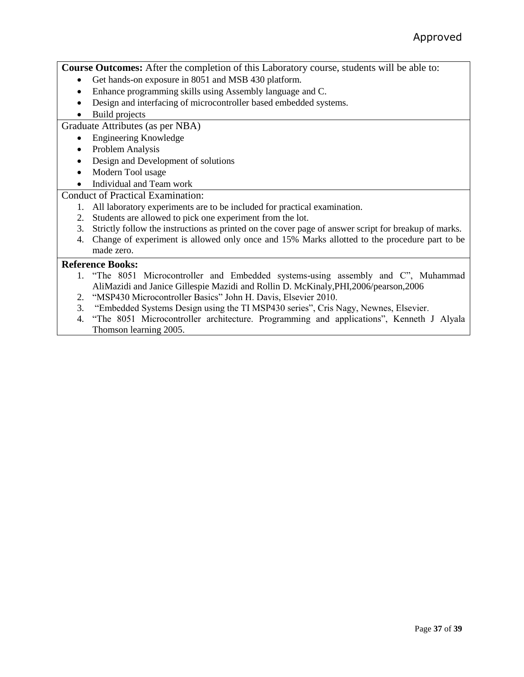**Course Outcomes:** After the completion of this Laboratory course, students will be able to:

- Get hands-on exposure in 8051 and MSB 430 platform.
- Enhance programming skills using Assembly language and C.
- Design and interfacing of microcontroller based embedded systems.
- Build projects

### Graduate Attributes (as per NBA)

- Engineering Knowledge
- Problem Analysis
- Design and Development of solutions
- Modern Tool usage

### • Individual and Team work

### Conduct of Practical Examination:

- 1. All laboratory experiments are to be included for practical examination.
- 2. Students are allowed to pick one experiment from the lot.
- 3. Strictly follow the instructions as printed on the cover page of answer script for breakup of marks.
- 4. Change of experiment is allowed only once and 15% Marks allotted to the procedure part to be made zero.

- 1. "The 8051 Microcontroller and Embedded systems-using assembly and C", Muhammad AliMazidi and Janice Gillespie Mazidi and Rollin D. McKinaly,PHI,2006/pearson,2006
- 2. "MSP430 Microcontroller Basics" John H. Davis, Elsevier 2010.
- 3. "Embedded Systems Design using the TI MSP430 series", Cris Nagy, Newnes, Elsevier.
- 4. "The 8051 Microcontroller architecture. Programming and applications", Kenneth J Alyala Thomson learning 2005.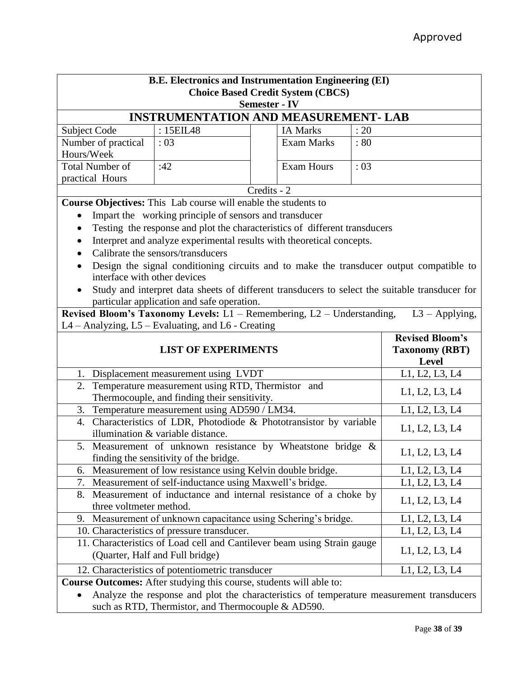| B.E. Electronics and Instrumentation Engineering (EI)<br><b>Choice Based Credit System (CBCS)</b>          |                                                                            |             |                   |                       |                                                                                                |  |  |
|------------------------------------------------------------------------------------------------------------|----------------------------------------------------------------------------|-------------|-------------------|-----------------------|------------------------------------------------------------------------------------------------|--|--|
| <b>Semester - IV</b><br><b>INSTRUMENTATION AND MEASUREMENT- LAB</b>                                        |                                                                            |             |                   |                       |                                                                                                |  |  |
| <b>Subject Code</b>                                                                                        | : 15EIL48                                                                  |             | <b>IA Marks</b>   | : 20                  |                                                                                                |  |  |
| Number of practical                                                                                        | : 03                                                                       |             | <b>Exam Marks</b> | : 80                  |                                                                                                |  |  |
| Hours/Week                                                                                                 |                                                                            |             |                   |                       |                                                                                                |  |  |
| <b>Total Number of</b>                                                                                     | :42                                                                        |             | <b>Exam Hours</b> | :03                   |                                                                                                |  |  |
| practical Hours                                                                                            |                                                                            |             |                   |                       |                                                                                                |  |  |
|                                                                                                            |                                                                            | Credits - 2 |                   |                       |                                                                                                |  |  |
|                                                                                                            | Course Objectives: This Lab course will enable the students to             |             |                   |                       |                                                                                                |  |  |
|                                                                                                            | Impart the working principle of sensors and transducer                     |             |                   |                       |                                                                                                |  |  |
|                                                                                                            | Testing the response and plot the characteristics of different transducers |             |                   |                       |                                                                                                |  |  |
|                                                                                                            | Interpret and analyze experimental results with theoretical concepts.      |             |                   |                       |                                                                                                |  |  |
|                                                                                                            | Calibrate the sensors/transducers                                          |             |                   |                       |                                                                                                |  |  |
| $\bullet$                                                                                                  |                                                                            |             |                   |                       | Design the signal conditioning circuits and to make the transducer output compatible to        |  |  |
| interface with other devices                                                                               |                                                                            |             |                   |                       |                                                                                                |  |  |
| $\bullet$                                                                                                  |                                                                            |             |                   |                       | Study and interpret data sheets of different transducers to select the suitable transducer for |  |  |
|                                                                                                            | particular application and safe operation.                                 |             |                   |                       |                                                                                                |  |  |
|                                                                                                            | Revised Bloom's Taxonomy Levels: L1 - Remembering, L2 - Understanding,     |             |                   |                       | $L3 - Applying,$                                                                               |  |  |
|                                                                                                            | L4 - Analyzing, L5 - Evaluating, and L6 - Creating                         |             |                   |                       |                                                                                                |  |  |
|                                                                                                            |                                                                            |             |                   |                       | <b>Revised Bloom's</b>                                                                         |  |  |
| <b>LIST OF EXPERIMENTS</b>                                                                                 |                                                                            |             |                   | <b>Taxonomy (RBT)</b> |                                                                                                |  |  |
|                                                                                                            |                                                                            |             |                   |                       | <b>Level</b>                                                                                   |  |  |
| 1.<br>Displacement measurement using LVDT                                                                  |                                                                            |             |                   |                       | L1, L2, L3, L4                                                                                 |  |  |
|                                                                                                            | 2. Temperature measurement using RTD, Thermistor and                       |             |                   |                       | L1, L2, L3, L4                                                                                 |  |  |
|                                                                                                            | Thermocouple, and finding their sensitivity.                               |             |                   |                       |                                                                                                |  |  |
| Temperature measurement using AD590 / LM34.<br>3.                                                          |                                                                            |             |                   |                       | L1, L2, L3, L4                                                                                 |  |  |
| 4. Characteristics of LDR, Photodiode & Phototransistor by variable                                        |                                                                            |             |                   |                       | L1, L2, L3, L4                                                                                 |  |  |
|                                                                                                            | illumination & variable distance.                                          |             |                   |                       |                                                                                                |  |  |
| 5. Measurement of unknown resistance by Wheatstone bridge &                                                |                                                                            |             |                   |                       | L1, L2, L3, L4                                                                                 |  |  |
| finding the sensitivity of the bridge.                                                                     |                                                                            |             |                   |                       |                                                                                                |  |  |
| Measurement of low resistance using Kelvin double bridge.<br>6.                                            |                                                                            |             |                   | L1, L2, L3, L4        |                                                                                                |  |  |
| Measurement of self-inductance using Maxwell's bridge.<br>L1, L2, L3, L4<br>7.                             |                                                                            |             |                   |                       |                                                                                                |  |  |
| Measurement of inductance and internal resistance of a choke by<br>8.<br>L1, L2, L3, L4                    |                                                                            |             |                   |                       |                                                                                                |  |  |
| three voltmeter method.                                                                                    |                                                                            |             |                   |                       |                                                                                                |  |  |
| Measurement of unknown capacitance using Schering's bridge.<br>9.                                          |                                                                            |             |                   | L1, L2, L3, L4        |                                                                                                |  |  |
| 10. Characteristics of pressure transducer.                                                                |                                                                            |             |                   |                       | L1, L2, L3, L4                                                                                 |  |  |
| 11. Characteristics of Load cell and Cantilever beam using Strain gauge<br>(Quarter, Half and Full bridge) |                                                                            |             |                   |                       | L1, L2, L3, L4                                                                                 |  |  |
| 12. Characteristics of potentiometric transducer                                                           |                                                                            |             |                   | L1, L2, L3, L4        |                                                                                                |  |  |
| Course Outcomes: After studying this course, students will able to:                                        |                                                                            |             |                   |                       |                                                                                                |  |  |
| Analyze the response and plot the characteristics of temperature measurement transducers                   |                                                                            |             |                   |                       |                                                                                                |  |  |

such as RTD, Thermistor, and Thermocouple & AD590.